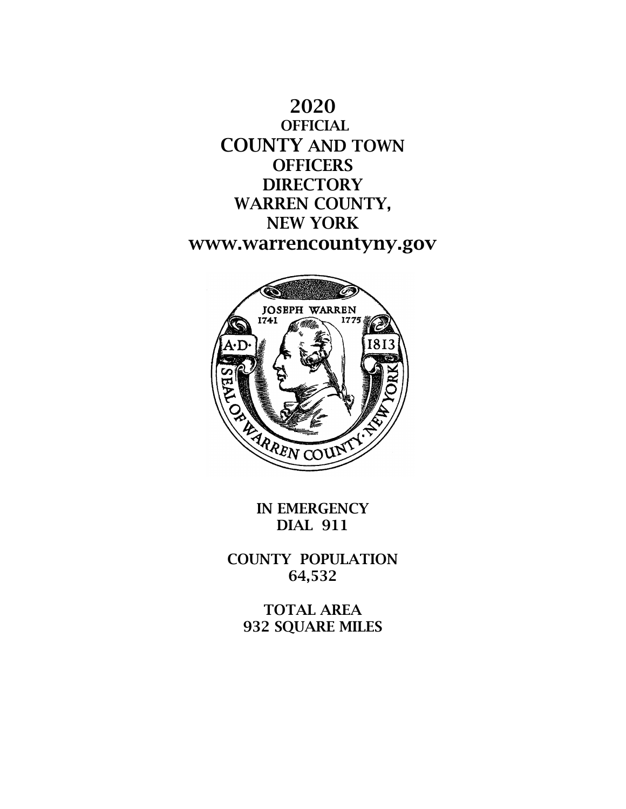



IN EMERGENCY DIAL 911

COUNTY POPULATION 64,532

TOTAL AREA 932 SQUARE MILES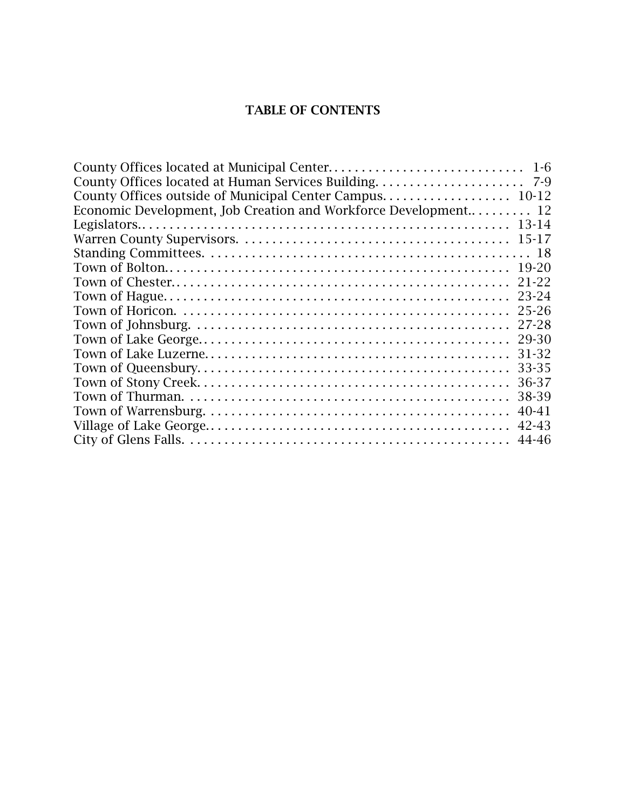## TABLE OF CONTENTS

| Economic Development, Job Creation and Workforce Development 12 |           |
|-----------------------------------------------------------------|-----------|
|                                                                 |           |
|                                                                 |           |
|                                                                 |           |
|                                                                 |           |
|                                                                 | $21 - 22$ |
|                                                                 | 23-24     |
|                                                                 | $25 - 26$ |
|                                                                 | 27-28     |
|                                                                 | 29-30     |
|                                                                 | 31-32     |
|                                                                 | 33-35     |
|                                                                 | 36-37     |
|                                                                 | 38-39     |
|                                                                 | $40 - 41$ |
|                                                                 | 42-43     |
|                                                                 |           |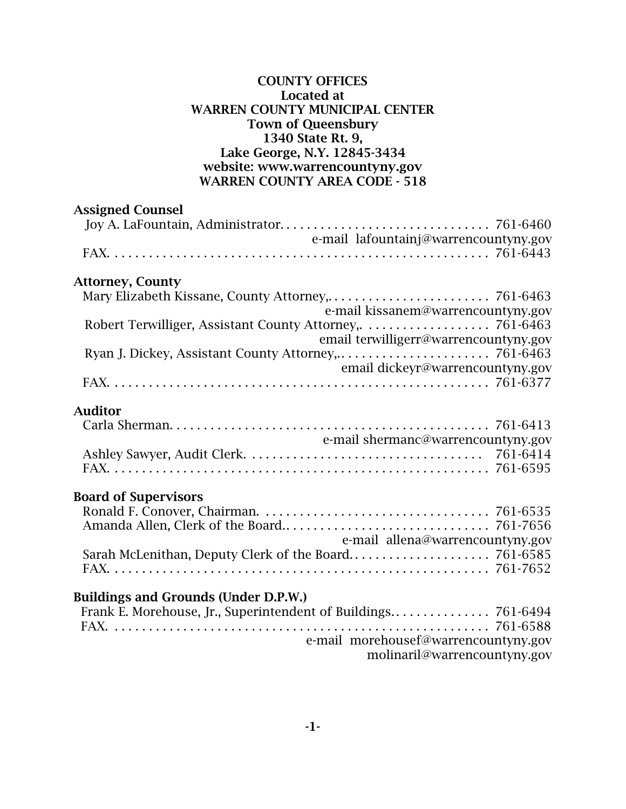### COUNTY OFFICES Located at WARREN COUNTY MUNICIPAL CENTER Town of Queensbury 1340 State Rt. 9, Lake George, N.Y. 12845-3434 website: www.warrencountyny.gov WARREN COUNTY AREA CODE - 518

| <b>Assigned Counsel</b>                     |  |
|---------------------------------------------|--|
|                                             |  |
| e-mail lafountainj@warrencountyny.gov       |  |
| <b>Attorney, County</b>                     |  |
| e-mail kissanem@warrencountyny.gov          |  |
| email terwilligerr@warrencountyny.gov       |  |
| email dickeyr@warrencountyny.gov            |  |
|                                             |  |
| <b>Auditor</b>                              |  |
| e-mail shermanc@warrencountyny.gov          |  |
|                                             |  |
| <b>Board of Supervisors</b>                 |  |
|                                             |  |
| e-mail allena@warrencountyny.gov            |  |
| <b>Buildings and Grounds (Under D.P.W.)</b> |  |
|                                             |  |

e-mail morehousef@warrencountyny.gov

molinaril@warrencountyny.gov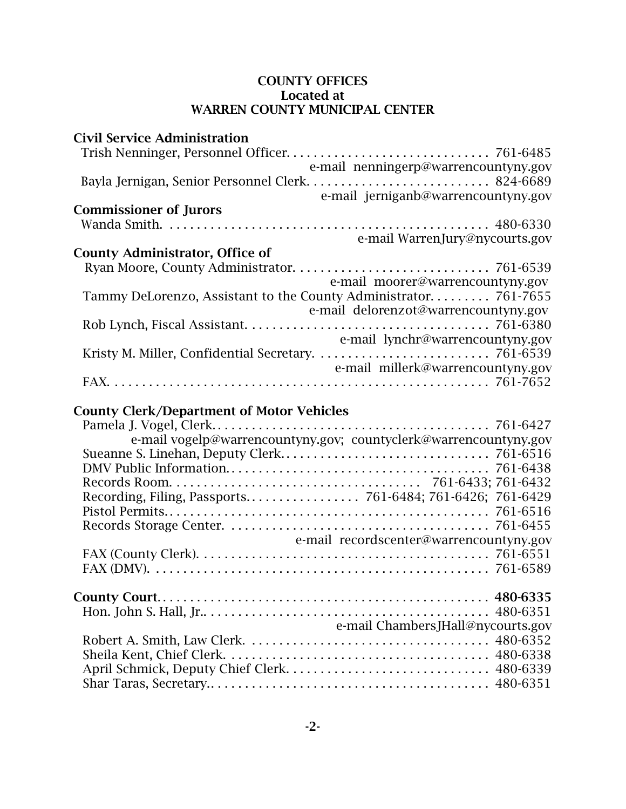| <b>Civil Service Administration</b>                              |  |
|------------------------------------------------------------------|--|
|                                                                  |  |
| e-mail nenningerp@warrencountyny.gov                             |  |
|                                                                  |  |
| e-mail jerniganb@warrencountyny.gov                              |  |
| <b>Commissioner of Jurors</b>                                    |  |
|                                                                  |  |
| e-mail WarrenJury@nycourts.gov                                   |  |
| <b>County Administrator, Office of</b>                           |  |
|                                                                  |  |
| e-mail moorer@warrencountyny.gov                                 |  |
| Tammy DeLorenzo, Assistant to the County Administrator 761-7655  |  |
| e-mail delorenzot@warrencountyny.gov                             |  |
|                                                                  |  |
| e-mail lynchr@warrencountyny.gov                                 |  |
|                                                                  |  |
| e-mail millerk@warrencountyny.gov                                |  |
|                                                                  |  |
|                                                                  |  |
| <b>County Clerk/Department of Motor Vehicles</b>                 |  |
|                                                                  |  |
|                                                                  |  |
| e-mail vogelp@warrencountyny.gov; countyclerk@warrencountyny.gov |  |
|                                                                  |  |
|                                                                  |  |
|                                                                  |  |
|                                                                  |  |
|                                                                  |  |
|                                                                  |  |
| e-mail recordscenter@warrencountyny.gov                          |  |
|                                                                  |  |
|                                                                  |  |
|                                                                  |  |
|                                                                  |  |
|                                                                  |  |
| e-mail ChambersJHall@nycourts.gov                                |  |
|                                                                  |  |
|                                                                  |  |
|                                                                  |  |
|                                                                  |  |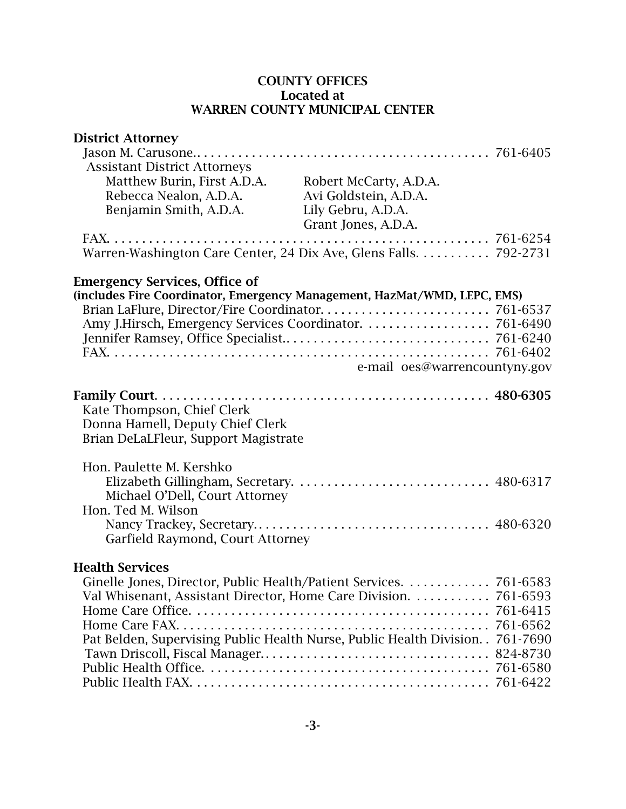| Brian DeLaLFleur, Support Magistrate |                                                                                                                                                                                                                                                                                                                                                                                                                                      |
|--------------------------------------|--------------------------------------------------------------------------------------------------------------------------------------------------------------------------------------------------------------------------------------------------------------------------------------------------------------------------------------------------------------------------------------------------------------------------------------|
|                                      |                                                                                                                                                                                                                                                                                                                                                                                                                                      |
|                                      |                                                                                                                                                                                                                                                                                                                                                                                                                                      |
|                                      |                                                                                                                                                                                                                                                                                                                                                                                                                                      |
|                                      |                                                                                                                                                                                                                                                                                                                                                                                                                                      |
|                                      |                                                                                                                                                                                                                                                                                                                                                                                                                                      |
|                                      |                                                                                                                                                                                                                                                                                                                                                                                                                                      |
| Garfield Raymond, Court Attorney     |                                                                                                                                                                                                                                                                                                                                                                                                                                      |
|                                      |                                                                                                                                                                                                                                                                                                                                                                                                                                      |
|                                      |                                                                                                                                                                                                                                                                                                                                                                                                                                      |
|                                      |                                                                                                                                                                                                                                                                                                                                                                                                                                      |
|                                      |                                                                                                                                                                                                                                                                                                                                                                                                                                      |
|                                      |                                                                                                                                                                                                                                                                                                                                                                                                                                      |
|                                      |                                                                                                                                                                                                                                                                                                                                                                                                                                      |
|                                      |                                                                                                                                                                                                                                                                                                                                                                                                                                      |
|                                      |                                                                                                                                                                                                                                                                                                                                                                                                                                      |
|                                      |                                                                                                                                                                                                                                                                                                                                                                                                                                      |
|                                      |                                                                                                                                                                                                                                                                                                                                                                                                                                      |
|                                      | Robert McCarty, A.D.A.<br>Avi Goldstein, A.D.A.<br>Lily Gebru, A.D.A.<br>Grant Jones, A.D.A.<br>Warren-Washington Care Center, 24 Dix Ave, Glens Falls. 792-2731<br>(includes Fire Coordinator, Emergency Management, HazMat/WMD, LEPC, EMS)<br>e-mail oes@warrencountyny.gov<br>Val Whisenant, Assistant Director, Home Care Division.  761-6593<br>Pat Belden, Supervising Public Health Nurse, Public Health Division. . 761-7690 |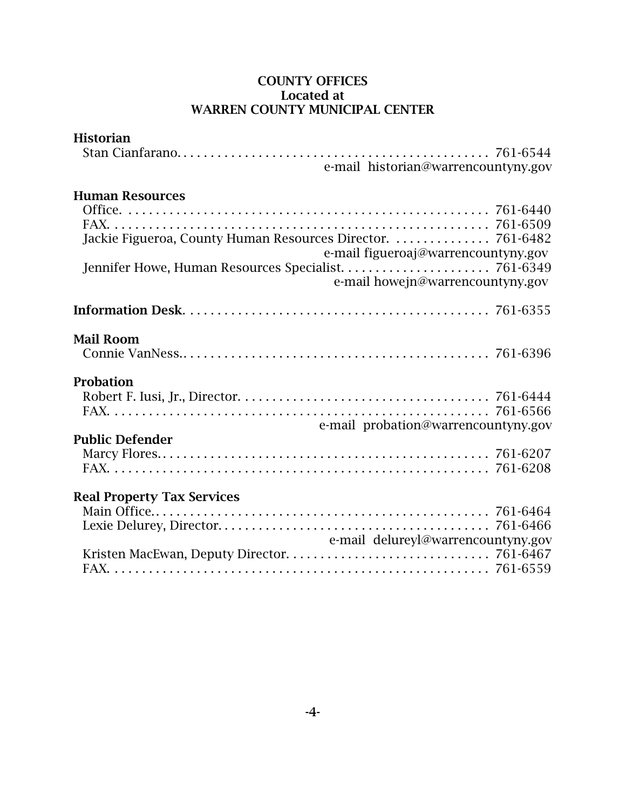| e-mail historian@warrencountyny.gov<br>Jackie Figueroa, County Human Resources Director.  761-6482<br>e-mail figueroaj@warrencountyny.gov<br>e-mail howejn@warrencountyny.gov<br><b>Mail Room</b><br><b>Probation</b><br>e-mail probation@warrencountyny.gov<br><b>Real Property Tax Services</b><br>e-mail delureyl@warrencountyny.gov | <b>Historian</b>       |  |
|-----------------------------------------------------------------------------------------------------------------------------------------------------------------------------------------------------------------------------------------------------------------------------------------------------------------------------------------|------------------------|--|
|                                                                                                                                                                                                                                                                                                                                         |                        |  |
|                                                                                                                                                                                                                                                                                                                                         |                        |  |
|                                                                                                                                                                                                                                                                                                                                         | <b>Human Resources</b> |  |
|                                                                                                                                                                                                                                                                                                                                         |                        |  |
|                                                                                                                                                                                                                                                                                                                                         |                        |  |
|                                                                                                                                                                                                                                                                                                                                         |                        |  |
|                                                                                                                                                                                                                                                                                                                                         |                        |  |
|                                                                                                                                                                                                                                                                                                                                         |                        |  |
|                                                                                                                                                                                                                                                                                                                                         |                        |  |
|                                                                                                                                                                                                                                                                                                                                         |                        |  |
|                                                                                                                                                                                                                                                                                                                                         |                        |  |
|                                                                                                                                                                                                                                                                                                                                         |                        |  |
|                                                                                                                                                                                                                                                                                                                                         |                        |  |
|                                                                                                                                                                                                                                                                                                                                         |                        |  |
|                                                                                                                                                                                                                                                                                                                                         |                        |  |
|                                                                                                                                                                                                                                                                                                                                         |                        |  |
|                                                                                                                                                                                                                                                                                                                                         | <b>Public Defender</b> |  |
|                                                                                                                                                                                                                                                                                                                                         |                        |  |
|                                                                                                                                                                                                                                                                                                                                         |                        |  |
|                                                                                                                                                                                                                                                                                                                                         |                        |  |
|                                                                                                                                                                                                                                                                                                                                         |                        |  |
|                                                                                                                                                                                                                                                                                                                                         |                        |  |
|                                                                                                                                                                                                                                                                                                                                         |                        |  |
|                                                                                                                                                                                                                                                                                                                                         |                        |  |
|                                                                                                                                                                                                                                                                                                                                         |                        |  |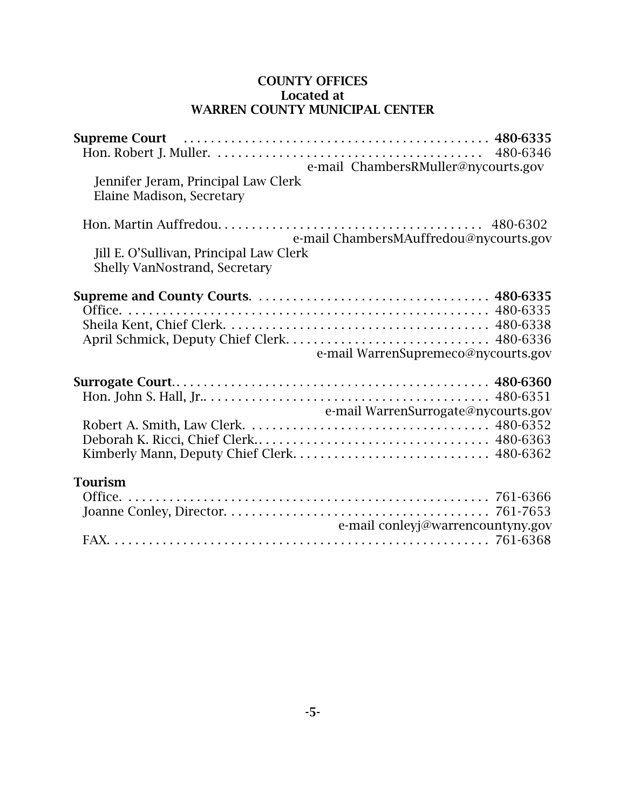| Supreme Court (all also contracts and the contracts of the contracts of the suppressure $480-6335$<br>e-mail ChambersRMuller@nycourts.gov<br>Jennifer Jeram, Principal Law Clerk<br>Elaine Madison, Secretary |  |
|---------------------------------------------------------------------------------------------------------------------------------------------------------------------------------------------------------------|--|
| e-mail ChambersMAuffredou@nycourts.gov<br>Jill E. O'Sullivan, Principal Law Clerk<br><b>Shelly VanNostrand, Secretary</b>                                                                                     |  |
| e-mail WarrenSupremeco@nycourts.gov                                                                                                                                                                           |  |
| e-mail WarrenSurrogate@nycourts.gov                                                                                                                                                                           |  |
| <b>Tourism</b><br>e-mail conleyj@warrencountyny.gov                                                                                                                                                           |  |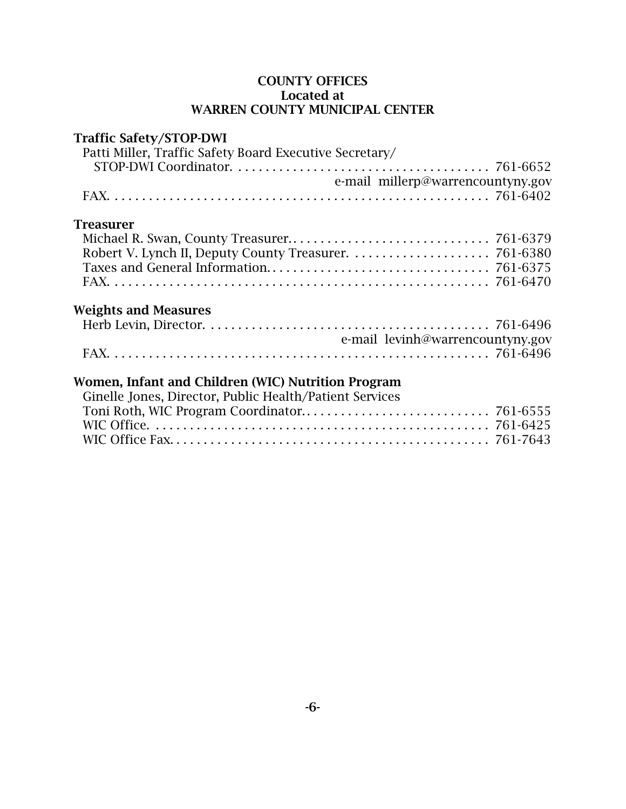## Traffic Safety/STOP-DWI

| Patti Miller, Traffic Safety Board Executive Secretary/ |  |
|---------------------------------------------------------|--|
|                                                         |  |
| e-mail millerp@warrencountyny.gov                       |  |
|                                                         |  |
|                                                         |  |
| <b>Treasurer</b>                                        |  |
|                                                         |  |
|                                                         |  |
|                                                         |  |
|                                                         |  |
|                                                         |  |

## Weights and Measures

| e-mail levinh@warrencountyny.gov |
|----------------------------------|
|                                  |

## Women, Infant and Children (WIC) Nutrition Program

| Ginelle Jones, Director, Public Health/Patient Services |  |
|---------------------------------------------------------|--|
|                                                         |  |
|                                                         |  |
|                                                         |  |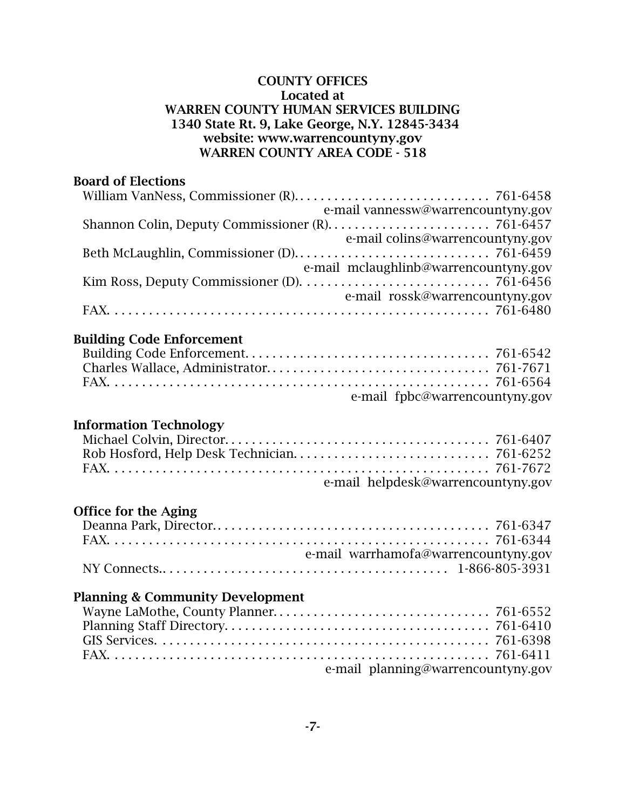### COUNTY OFFICES Located at WARREN COUNTY HUMAN SERVICES BUILDING 1340 State Rt. 9, Lake George, N.Y. 12845-3434 website: www.warrencountyny.gov WARREN COUNTY AREA CODE - 518

## Board of Elections

|                                                                                                     | e-mail vannessw@warrencountyny.gov    |
|-----------------------------------------------------------------------------------------------------|---------------------------------------|
|                                                                                                     |                                       |
|                                                                                                     | e-mail colins@warrencountyny.gov      |
|                                                                                                     |                                       |
|                                                                                                     | e-mail mclaughlinb@warrencountyny.gov |
| Kim Ross, Deputy Commissioner (D). $\dots \dots \dots \dots \dots \dots \dots \dots \dots$ 761-6456 |                                       |
|                                                                                                     | e-mail rossk@warrencountyny.gov       |
|                                                                                                     |                                       |
|                                                                                                     |                                       |

## Building Code Enforcement

| e-mail fpbc@warrencountyny.gov |  |
|--------------------------------|--|

## Information Technology

| e-mail helpdesk@warrencountyny.gov |
|------------------------------------|

## Office for the Aging

| e-mail warrhamofa@warrencountyny.gov |  |
|--------------------------------------|--|
|                                      |  |

## Planning & Community Development

| e-mail planning@warrencountyny.gov |  |
|------------------------------------|--|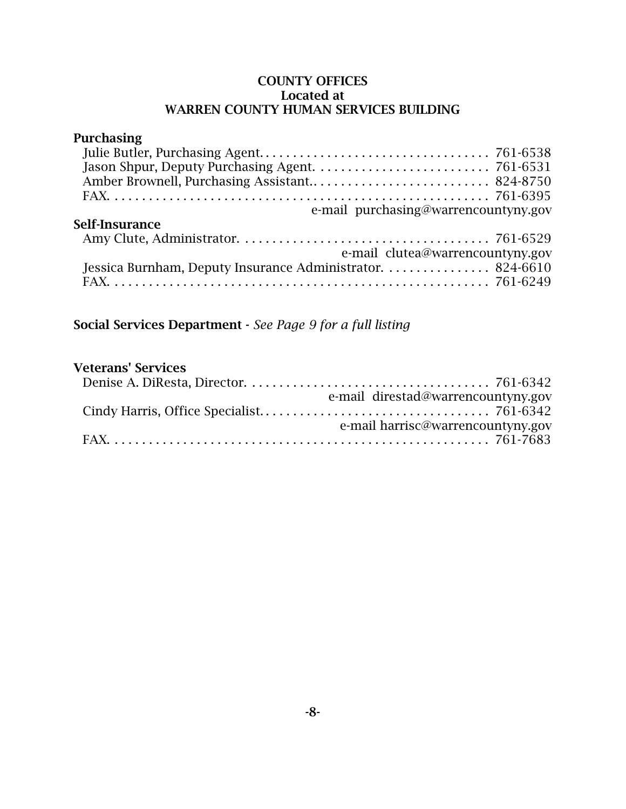#### COUNTY OFFICES Located at WARREN COUNTY HUMAN SERVICES BUILDING

### Purchasing Julie Butler, Purchasing Agent. . . . . . . . . . . . . . . . . . . . . . . . . . . . . . . . . . 761-6538 Jason Shpur, Deputy Purchasing Agent. . . . . . . . . . . . . . . . . . . . . . . . . . 761-6531 Amber Brownell, Purchasing Assistant.. . . . . . . . . . . . . . . . . . . . . . . . . . 824-8750 FAX. . . . . . . . . . . . . . . . . . . . . . . . . . . . . . . . . . . . . . . . . . . . . . . . . . . . . . . . 761-6395 e-mail purchasing@warrencountyny.gov Self-Insurance Amy Clute, Administrator. . . . . . . . . . . . . . . . . . . . . . . . . . . . . . . . . . . . . 761-6529 e-mail clutea@warrencountyny.gov Jessica Burnham, Deputy Insurance Administrator. . . . . . . . . . . . . . . . 824-6610 FAX. . . . . . . . . . . . . . . . . . . . . . . . . . . . . . . . . . . . . . . . . . . . . . . . . . . . . . . . 761-6249

Social Services Department - *See Page 9 for a full listing*

## Veterans' Services

| e-mail direstad@warrencountyny.gov |
|------------------------------------|
|                                    |
| e-mail harrisc@warrencountyny.gov  |
|                                    |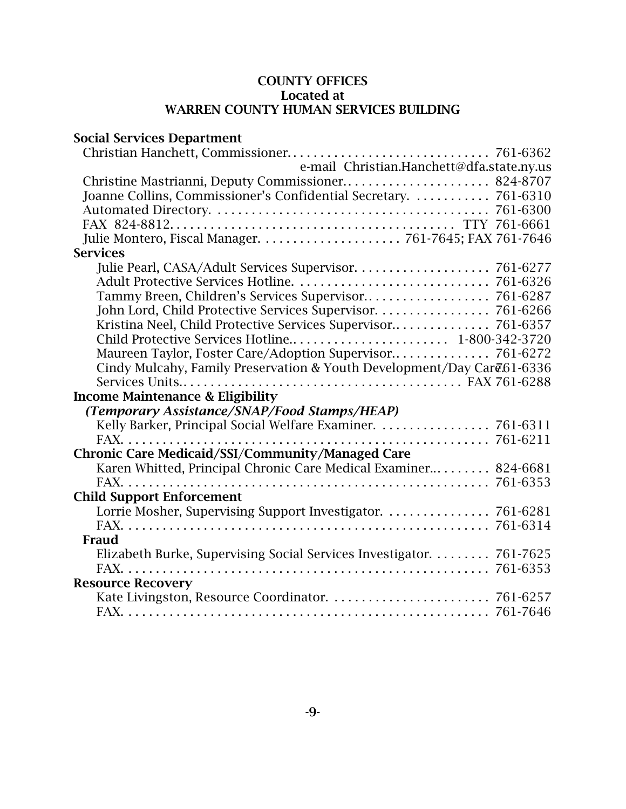## COUNTY OFFICES Located at WARREN COUNTY HUMAN SERVICES BUILDING

| <b>Social Services Department</b>                                       |          |
|-------------------------------------------------------------------------|----------|
|                                                                         |          |
| e-mail Christian.Hanchett@dfa.state.ny.us                               |          |
|                                                                         |          |
| Joanne Collins, Commissioner's Confidential Secretary.  761-6310        |          |
|                                                                         |          |
|                                                                         |          |
|                                                                         |          |
| <b>Services</b>                                                         |          |
|                                                                         |          |
|                                                                         |          |
|                                                                         |          |
| John Lord, Child Protective Services Supervisor. 761-6266               |          |
|                                                                         |          |
| Child Protective Services Hotline 1-800-342-3720                        |          |
| Maureen Taylor, Foster Care/Adoption Supervisor 761-6272                |          |
| Cindy Mulcahy, Family Preservation & Youth Development/Day Care 61-6336 |          |
|                                                                         |          |
| <b>Income Maintenance &amp; Eligibility</b>                             |          |
| (Temporary Assistance/SNAP/Food Stamps/HEAP)                            |          |
| Kelly Barker, Principal Social Welfare Examiner. 761-6311               |          |
| $FAX$                                                                   |          |
| <b>Chronic Care Medicaid/SSI/Community/Managed Care</b>                 |          |
| Karen Whitted, Principal Chronic Care Medical Examiner 824-6681         |          |
|                                                                         |          |
| <b>Child Support Enforcement</b>                                        |          |
|                                                                         |          |
|                                                                         |          |
| Fraud                                                                   |          |
| Elizabeth Burke, Supervising Social Services Investigator. 761-7625     |          |
|                                                                         | 761-6353 |
| <b>Resource Recovery</b>                                                |          |
|                                                                         |          |
|                                                                         |          |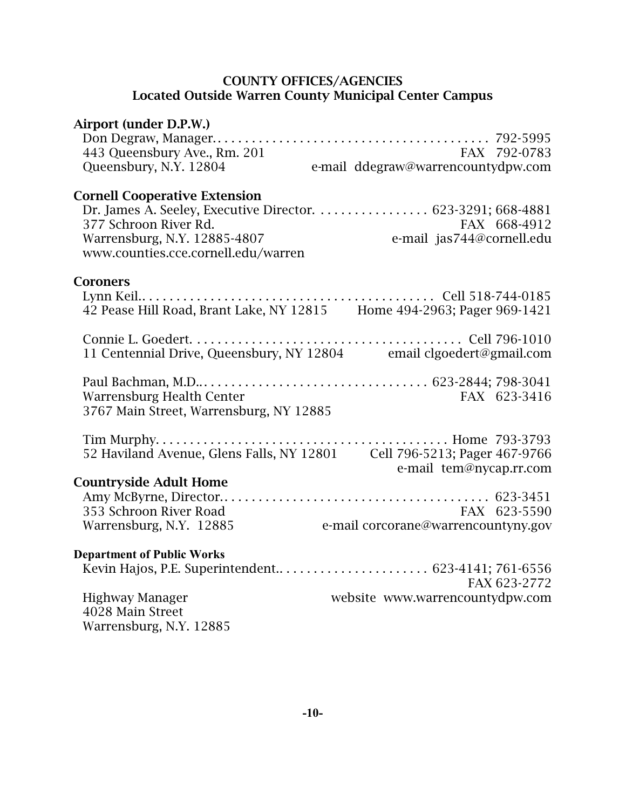#### COUNTY OFFICES/AGENCIES Located Outside Warren County Municipal Center Campus

| Airport (under D.P.W.)                                              |                                                                            |
|---------------------------------------------------------------------|----------------------------------------------------------------------------|
|                                                                     |                                                                            |
| 443 Queensbury Ave., Rm. 201                                        | FAX 792-0783                                                               |
| Queensbury, N.Y. 12804                                              | e-mail ddegraw@warrencountydpw.com                                         |
| <b>Cornell Cooperative Extension</b>                                |                                                                            |
|                                                                     | Dr. James A. Seeley, Executive Director. 623-3291; 668-4881                |
| 377 Schroon River Rd.                                               | FAX 668-4912                                                               |
| Warrensburg, N.Y. 12885-4807<br>www.counties.cce.cornell.edu/warren | e-mail jas744@cornell.edu                                                  |
| <b>Coroners</b>                                                     |                                                                            |
|                                                                     |                                                                            |
|                                                                     |                                                                            |
|                                                                     |                                                                            |
|                                                                     | 11 Centennial Drive, Queensbury, NY 12804 email clgoedert@gmail.com        |
|                                                                     |                                                                            |
| <b>Warrensburg Health Center</b>                                    | FAX 623-3416                                                               |
| 3767 Main Street, Warrensburg, NY 12885                             |                                                                            |
|                                                                     |                                                                            |
|                                                                     | 52 Haviland Avenue, Glens Falls, NY 12801    Cell 796-5213; Pager 467-9766 |
|                                                                     | e-mail tem@nycap.rr.com                                                    |
| <b>Countryside Adult Home</b>                                       |                                                                            |
| 353 Schroon River Road                                              | FAX 623-5590                                                               |
| Warrensburg, N.Y. 12885                                             | rAX 623-5590<br>e-mail corcorane@warrencountyny.gov                        |
|                                                                     |                                                                            |
| <b>Department of Public Works</b>                                   |                                                                            |
|                                                                     |                                                                            |
|                                                                     | FAX 623-2772                                                               |
| <b>Highway Manager</b>                                              | website www.warrencountydpw.com                                            |
| 4028 Main Street                                                    |                                                                            |
| Warrensburg, N.Y. 12885                                             |                                                                            |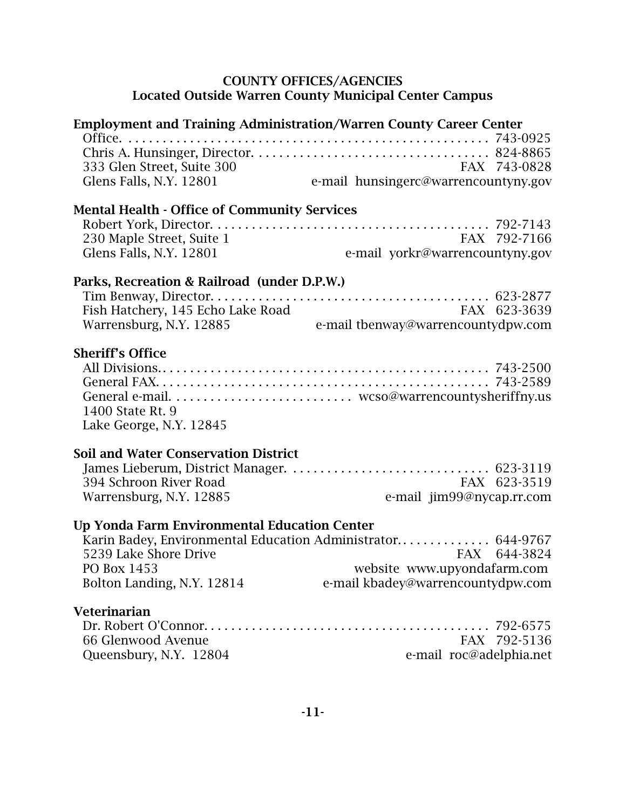### COUNTY OFFICES/AGENCIES Located Outside Warren County Municipal Center Campus

| <b>Employment and Training Administration/Warren County Career Center</b> |                                                             |
|---------------------------------------------------------------------------|-------------------------------------------------------------|
|                                                                           |                                                             |
|                                                                           |                                                             |
| 333 Glen Street, Suite 300                                                | FAX 743-0828                                                |
| Glens Falls, N.Y. 12801                                                   | e-mail hunsingerc@warrencountyny.gov                        |
|                                                                           |                                                             |
| <b>Mental Health - Office of Community Services</b>                       |                                                             |
| 230 Maple Street, Suite 1                                                 | FAX 792-7166                                                |
| Glens Falls, N.Y. 12801                                                   | e-mail yorkr@warrencountyny.gov                             |
|                                                                           |                                                             |
| Parks, Recreation & Railroad (under D.P.W.)                               |                                                             |
|                                                                           |                                                             |
| Fish Hatchery, 145 Echo Lake Road                                         | FAX 623-3639                                                |
| Warrensburg, N.Y. 12885                                                   | e-mail tbenway@warrencountydpw.com                          |
| <b>Sheriff's Office</b>                                                   |                                                             |
|                                                                           |                                                             |
|                                                                           |                                                             |
|                                                                           |                                                             |
| 1400 State Rt. 9                                                          |                                                             |
| Lake George, N.Y. 12845                                                   |                                                             |
|                                                                           |                                                             |
| <b>Soil and Water Conservation District</b>                               |                                                             |
|                                                                           |                                                             |
| 394 Schroon River Road                                                    | FAX 623-3519                                                |
| Warrensburg, N.Y. 12885                                                   | e-mail jim99@nycap.rr.com                                   |
| Up Yonda Farm Environmental Education Center                              |                                                             |
|                                                                           | Karin Badey, Environmental Education Administrator 644-9767 |
| 5239 Lake Shore Drive                                                     | FAX 644-3824                                                |
| PO Box 1453                                                               | website www.upyondafarm.com                                 |
| Bolton Landing, N.Y. 12814                                                | e-mail kbadey@warrencountydpw.com                           |
| Veterinarian                                                              |                                                             |
|                                                                           |                                                             |
| 66 Glenwood Avenue                                                        | FAX 792-5136                                                |
| Queensbury, N.Y. 12804                                                    | e-mail roc@adelphia.net                                     |
|                                                                           |                                                             |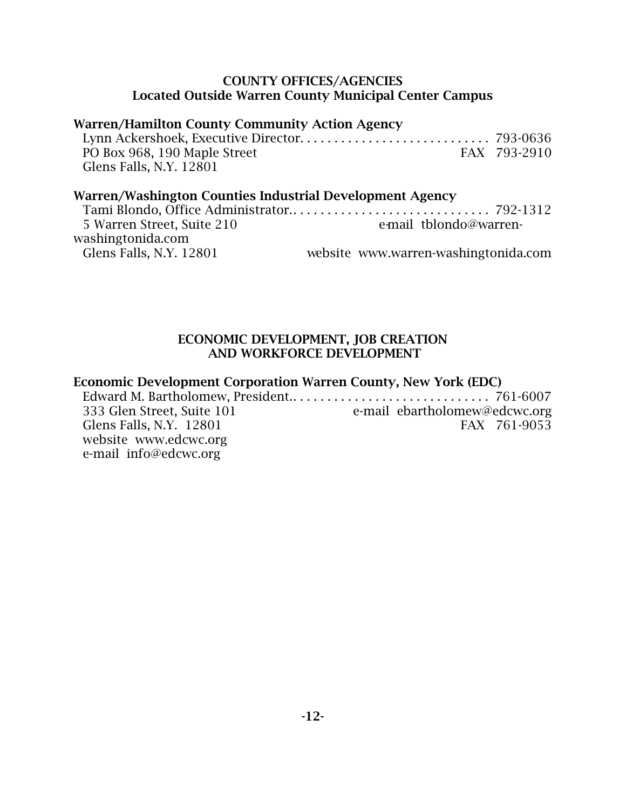#### COUNTY OFFICES/AGENCIES Located Outside Warren County Municipal Center Campus

### Warren/Hamilton County Community Action Agency

| PO Box 968, 190 Maple Street | FAX 793-2910 |
|------------------------------|--------------|
| Glens Falls, N.Y. 12801      |              |

### Warren/Washington Counties Industrial Development Agency

| e-mail tblondo@warren-               |
|--------------------------------------|
|                                      |
| website www.warren-washingtonida.com |
|                                      |

### ECONOMIC DEVELOPMENT, JOB CREATION AND WORKFORCE DEVELOPMENT

### Economic Development Corporation Warren County, New York (EDC)

Edward M. Bartholomew, President.. . . . . . . . . . . . . . . . . . . . . . . . . . . . . 761-6007 333 Glen Street, Suite 101 e-mail ebartholomew@edcwc.org Glens Falls, N.Y. 12801 FAX 761-9053 website www.edcwc.org e-mail info@edcwc.org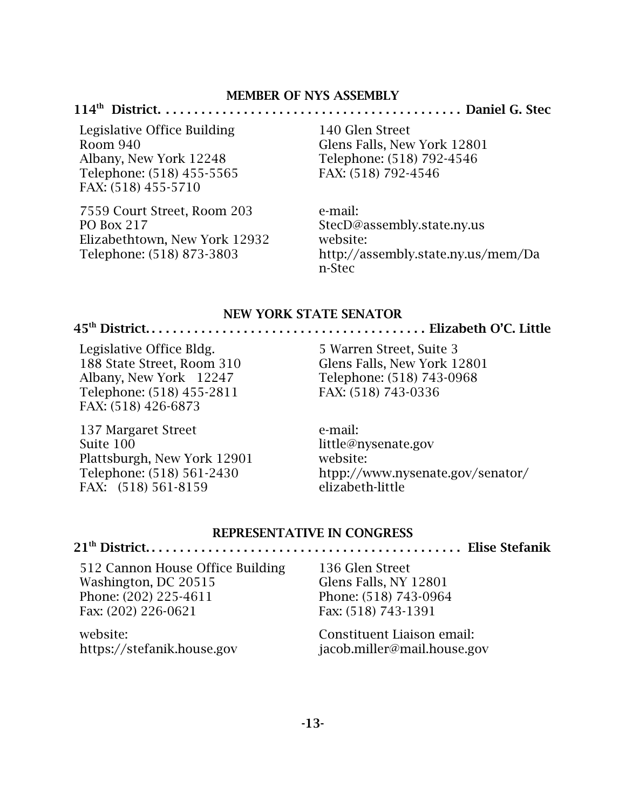#### MEMBER OF NYS ASSEMBLY

#### 114th District. . . . . . . . . . . . . . . . . . . . . . . . . . . . . . . . . . . . . . . . . . . Daniel G. Stec

Legislative Office Building Room 940 Albany, New York 12248 Telephone: (518) 455-5565 FAX: (518) 455-5710

7559 Court Street, Room 203 PO Box 217 Elizabethtown, New York 12932 Telephone: (518) 873-3803

140 Glen Street Glens Falls, New York 12801 Telephone: (518) 792-4546 FAX: (518) 792-4546

e-mail: StecD@assembly.state.ny.us website: http://assembly.state.ny.us/mem/Da n-Stec

#### NEW YORK STATE SENATOR

#### 45th District. . . . . . . . . . . . . . . . . . . . . . . . . . . . . . . . . . . . . . . . Elizabeth O'C. Little

Legislative Office Bldg. 188 State Street, Room 310 Albany, New York 12247 Telephone: (518) 455-2811 FAX: (518) 426-6873

137 Margaret Street Suite 100 Plattsburgh, New York 12901 Telephone: (518) 561-2430 FAX: (518) 561-8159

5 Warren Street, Suite 3 Glens Falls, New York 12801 Telephone: (518) 743-0968 FAX: (518) 743-0336

e-mail: little@nysenate.gov website: htpp://www.nysenate.gov/senator/ elizabeth-little

#### REPRESENTATIVE IN CONGRESS

21th District. . . . . . . . . . . . . . . . . . . . . . . . . . . . . . . . . . . . . . . . . . . . . Elise Stefanik

512 Cannon House Office Building Washington, DC 20515 Phone: (202) 225-4611 Fax: (202) 226-0621

website: https://stefanik.house.gov 136 Glen Street Glens Falls, NY 12801 Phone: (518) 743-0964 Fax: (518) 743-1391

Constituent Liaison email: jacob.miller@mail.house.gov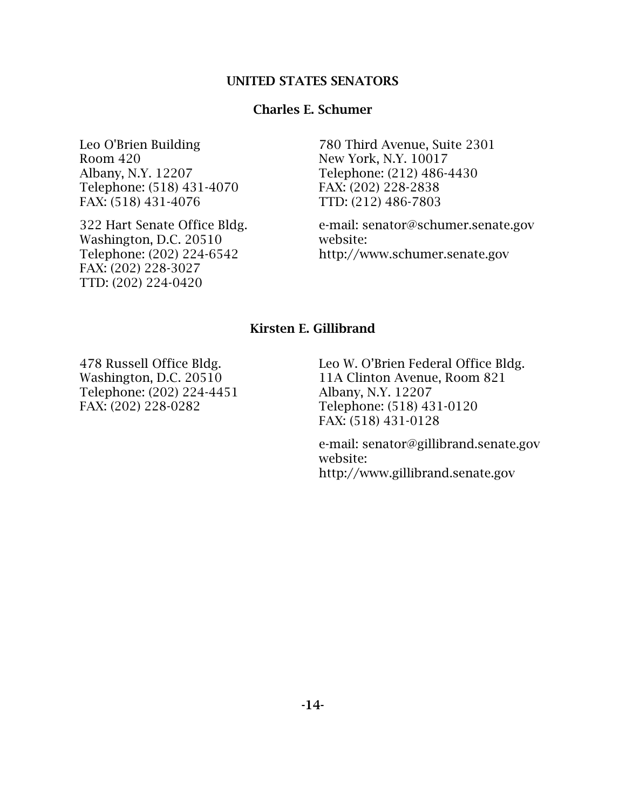#### UNITED STATES SENATORS

#### Charles E. Schumer

Leo O'Brien Building Room 420 Albany, N.Y. 12207 Telephone: (518) 431-4070 FAX: (518) 431-4076

322 Hart Senate Office Bldg. Washington, D.C. 20510 Telephone: (202) 224-6542 FAX: (202) 228-3027 TTD: (202) 224-0420

780 Third Avenue, Suite 2301 New York, N.Y. 10017 Telephone: (212) 486-4430 FAX: (202) 228-2838 TTD: (212) 486-7803

e-mail: senator@schumer.senate.gov website: http://www.schumer.senate.gov

## Kirsten E. Gillibrand

478 Russell Office Bldg. Washington, D.C. 20510 Telephone: (202) 224-4451 FAX: (202) 228-0282

Leo W. O'Brien Federal Office Bldg. 11A Clinton Avenue, Room 821 Albany, N.Y. 12207 Telephone: (518) 431-0120 FAX: (518) 431-0128

e-mail: senator@gillibrand.senate.gov website: http://www.gillibrand.senate.gov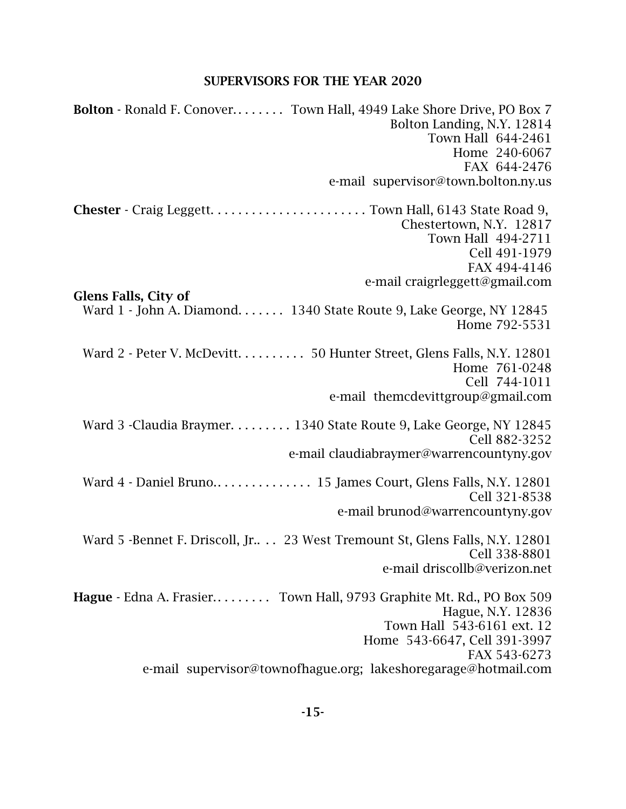## SUPERVISORS FOR THE YEAR 2020

| <b>Bolton</b> - Ronald F. Conover Town Hall, 4949 Lake Shore Drive, PO Box 7 |
|------------------------------------------------------------------------------|
| Bolton Landing, N.Y. 12814                                                   |
| Town Hall 644-2461                                                           |
| Home 240-6067                                                                |
| FAX 644-2476                                                                 |
| e-mail supervisor@town.bolton.ny.us                                          |
|                                                                              |
| Chestertown, N.Y. 12817                                                      |
| Town Hall 494-2711                                                           |
| Cell 491-1979                                                                |
| FAX 494-4146                                                                 |
| e-mail craigrleggett@gmail.com                                               |
| <b>Glens Falls, City of</b>                                                  |
| Ward 1 - John A. Diamond. 1340 State Route 9, Lake George, NY 12845          |
| Home 792-5531                                                                |
|                                                                              |
| Ward 2 - Peter V. McDevitt. 50 Hunter Street, Glens Falls, N.Y. 12801        |
| Home 761-0248                                                                |
| Cell 744-1011                                                                |
| e-mail themcdevittgroup@gmail.com                                            |
| Ward 3 - Claudia Braymer. 1340 State Route 9, Lake George, NY 12845          |
| Cell 882-3252                                                                |
| e-mail claudiabraymer@warrencountyny.gov                                     |
|                                                                              |
| Cell 321-8538                                                                |
| e-mail brunod@warrencountyny.gov                                             |
|                                                                              |
| Ward 5 -Bennet F. Driscoll, Jr 23 West Tremount St, Glens Falls, N.Y. 12801  |
| Cell 338-8801                                                                |
| e-mail driscollb@verizon.net                                                 |
| Hague - Edna A. Frasier Town Hall, 9793 Graphite Mt. Rd., PO Box 509         |
| Hague, N.Y. 12836                                                            |
| Town Hall 543-6161 ext. 12                                                   |
| Home 543-6647, Cell 391-3997                                                 |
| FAX 543-6273                                                                 |
| e-mail supervisor@townofhague.org; lakeshoregarage@hotmail.com               |
|                                                                              |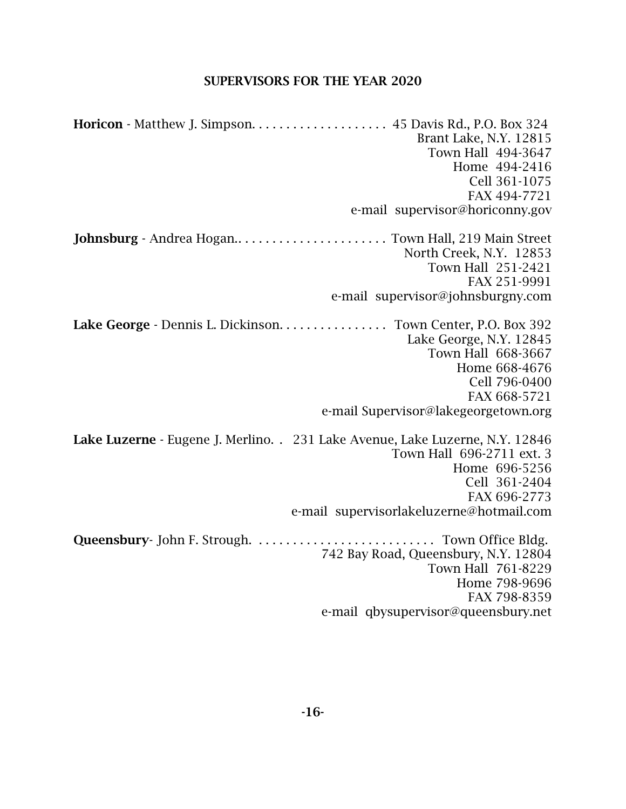#### SUPERVISORS FOR THE YEAR 2020

Horicon - Matthew J. Simpson. . . . . . . . . . . . . . . . . . . . 45 Davis Rd., P.O. Box 324 Brant Lake, N.Y. 12815 Town Hall 494-3647 Home 494-2416 Cell 361-1075 FAX 494-7721 e-mail supervisor@horiconny.gov Johnsburg - Andrea Hogan.. . . . . . . . . . . . . . . . . . . . . . Town Hall, 219 Main Street North Creek, N.Y. 12853 Town Hall 251-2421 FAX 251-9991 e-mail supervisor@johnsburgny.com Lake George - Dennis L. Dickinson. . . . . . . . . . . . . . . Town Center, P.O. Box 392 Lake George, N.Y. 12845 Town Hall 668-3667 Home 668-4676 Cell 796-0400 FAX 668-5721 e-mail Supervisor@lakegeorgetown.org Lake Luzerne - Eugene J. Merlino. . 231 Lake Avenue, Lake Luzerne, N.Y. 12846 Town Hall 696-2711 ext. 3 Home 696-5256 Cell 361-2404 FAX 696-2773 e-mail supervisorlakeluzerne@hotmail.com Queensbury- John F. Strough. . . . . . . . . . . . . . . . . . . . . . . . . . . Town Office Bldg. 742 Bay Road, Queensbury, N.Y. 12804 Town Hall 761-8229 Home 798-9696 FAX 798-8359 e-mail qbysupervisor@queensbury.net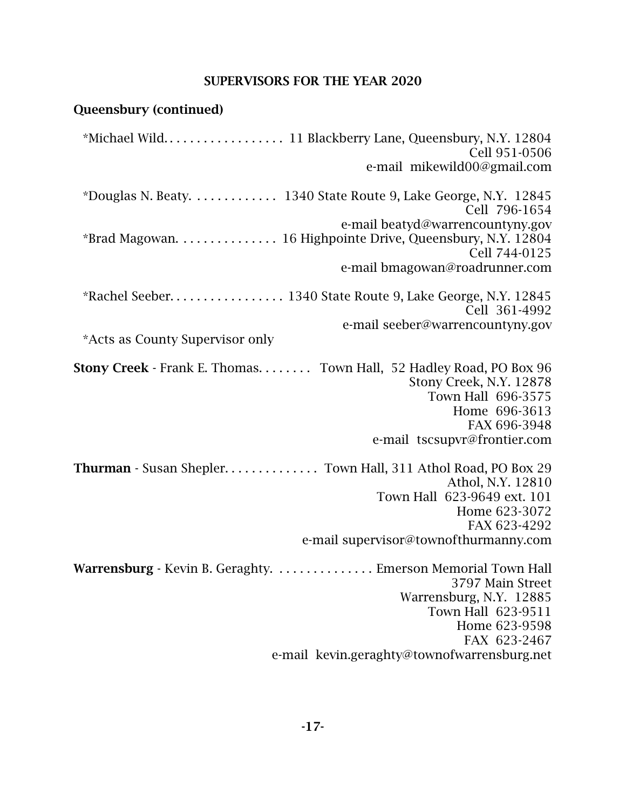## SUPERVISORS FOR THE YEAR 2020

# Queensbury (continued)

| Cell 951-0506<br>e-mail mikewild00@gmail.com                                                                                                                                          |
|---------------------------------------------------------------------------------------------------------------------------------------------------------------------------------------|
| *Douglas N. Beaty. 1340 State Route 9, Lake George, N.Y. 12845<br>Cell 796-1654                                                                                                       |
| e-mail beatyd@warrencountyny.gov<br>*Brad Magowan. 16 Highpointe Drive, Queensbury, N.Y. 12804<br>Cell 744-0125                                                                       |
| e-mail bmagowan@roadrunner.com                                                                                                                                                        |
| Cell 361-4992                                                                                                                                                                         |
| e-mail seeber@warrencountyny.gov                                                                                                                                                      |
| *Acts as County Supervisor only                                                                                                                                                       |
| Stony Creek - Frank E. Thomas. Town Hall, 52 Hadley Road, PO Box 96<br>Stony Creek, N.Y. 12878<br>Town Hall 696-3575<br>Home 696-3613<br>FAX 696-3948<br>e-mail tscsupvr@frontier.com |
| Thurman - Susan Shepler Town Hall, 311 Athol Road, PO Box 29                                                                                                                          |
| Athol, N.Y. 12810<br>Town Hall 623-9649 ext. 101                                                                                                                                      |
| Home 623-3072                                                                                                                                                                         |
| FAX 623-4292                                                                                                                                                                          |
| e-mail supervisor@townofthurmanny.com                                                                                                                                                 |
| Warrensburg - Kevin B. Geraghty. Emerson Memorial Town Hall<br>3797 Main Street<br>Warrensburg, N.Y. 12885<br>Town Hall 623-9511<br>Home 623-9598<br>FAX 623-2467                     |
| e-mail kevin.geraghty@townofwarrensburg.net                                                                                                                                           |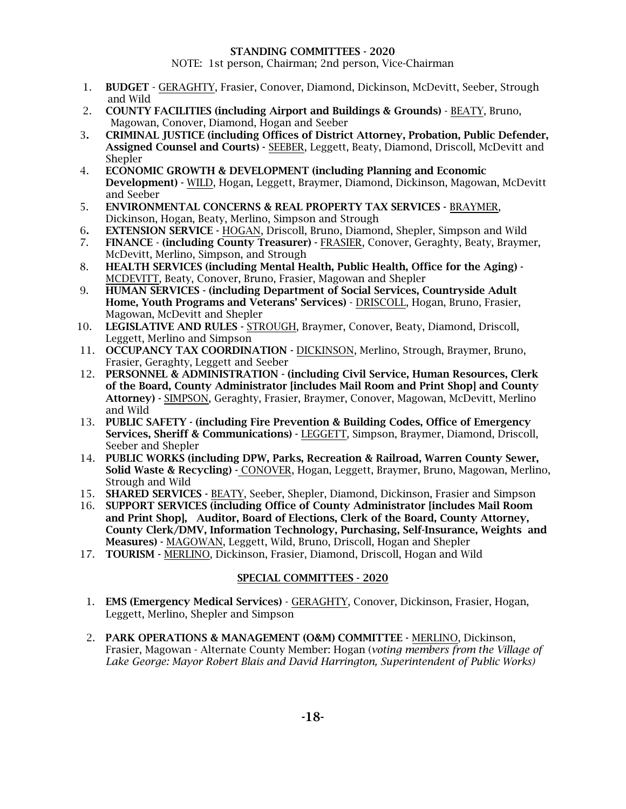#### STANDING COMMITTEES - 2020

NOTE: 1st person, Chairman; 2nd person, Vice-Chairman

- 1. BUDGET GERAGHTY, Frasier, Conover, Diamond, Dickinson, McDevitt, Seeber, Strough and Wild
- 2. COUNTY FACILITIES (including Airport and Buildings & Grounds) BEATY, Bruno, Magowan, Conover, Diamond, Hogan and Seeber
- 3. CRIMINAL JUSTICE (including Offices of District Attorney, Probation, Public Defender, Assigned Counsel and Courts) - SEEBER, Leggett, Beaty, Diamond, Driscoll, McDevitt and Shepler
- 4. ECONOMIC GROWTH & DEVELOPMENT (including Planning and Economic Development) - WILD, Hogan, Leggett, Braymer, Diamond, Dickinson, Magowan, McDevitt and Seeber
- 5. ENVIRONMENTAL CONCERNS & REAL PROPERTY TAX SERVICES BRAYMER, Dickinson, Hogan, Beaty, Merlino, Simpson and Strough
- 6. EXTENSION SERVICE HOGAN, Driscoll, Bruno, Diamond, Shepler, Simpson and Wild
- 7. FINANCE (including County Treasurer) FRASIER, Conover, Geraghty, Beaty, Braymer, McDevitt, Merlino, Simpson, and Strough
- 8. HEALTH SERVICES (including Mental Health, Public Health, Office for the Aging) MCDEVITT, Beaty, Conover, Bruno, Frasier, Magowan and Shepler
- 9. HUMAN SERVICES (including Department of Social Services, Countryside Adult Home, Youth Programs and Veterans' Services) - DRISCOLL, Hogan, Bruno, Frasier, Magowan, McDevitt and Shepler
- 10. LEGISLATIVE AND RULES STROUGH, Braymer, Conover, Beaty, Diamond, Driscoll, Leggett, Merlino and Simpson
- 11. OCCUPANCY TAX COORDINATION DICKINSON, Merlino, Strough, Braymer, Bruno, Frasier, Geraghty, Leggett and Seeber
- 12. PERSONNEL & ADMINISTRATION (including Civil Service, Human Resources, Clerk of the Board, County Administrator [includes Mail Room and Print Shop] and County Attorney) - SIMPSON, Geraghty, Frasier, Braymer, Conover, Magowan, McDevitt, Merlino and Wild
- 13. PUBLIC SAFETY (including Fire Prevention & Building Codes, Office of Emergency Services, Sheriff & Communications) - LEGGETT, Simpson, Braymer, Diamond, Driscoll, Seeber and Shepler
- 14. PUBLIC WORKS (including DPW, Parks, Recreation & Railroad, Warren County Sewer, Solid Waste & Recycling) - CONOVER, Hogan, Leggett, Braymer, Bruno, Magowan, Merlino, Strough and Wild
- 15. SHARED SERVICES BEATY, Seeber, Shepler, Diamond, Dickinson, Frasier and Simpson
- 16. SUPPORT SERVICES (including Office of County Administrator [includes Mail Room and Print Shop], Auditor, Board of Elections, Clerk of the Board, County Attorney, County Clerk/DMV, Information Technology, Purchasing, Self-Insurance, Weights and Measures) - MAGOWAN, Leggett, Wild, Bruno, Driscoll, Hogan and Shepler
- 17. TOURISM MERLINO, Dickinson, Frasier, Diamond, Driscoll, Hogan and Wild

#### SPECIAL COMMITTEES - 2020

- 1. EMS (Emergency Medical Services) GERAGHTY, Conover, Dickinson, Frasier, Hogan, Leggett, Merlino, Shepler and Simpson
- 2. PARK OPERATIONS & MANAGEMENT (O&M) COMMITTEE MERLINO, Dickinson, Frasier, Magowan - Alternate County Member: Hogan (*voting members from the Village of Lake George: Mayor Robert Blais and David Harrington, Superintendent of Public Works)*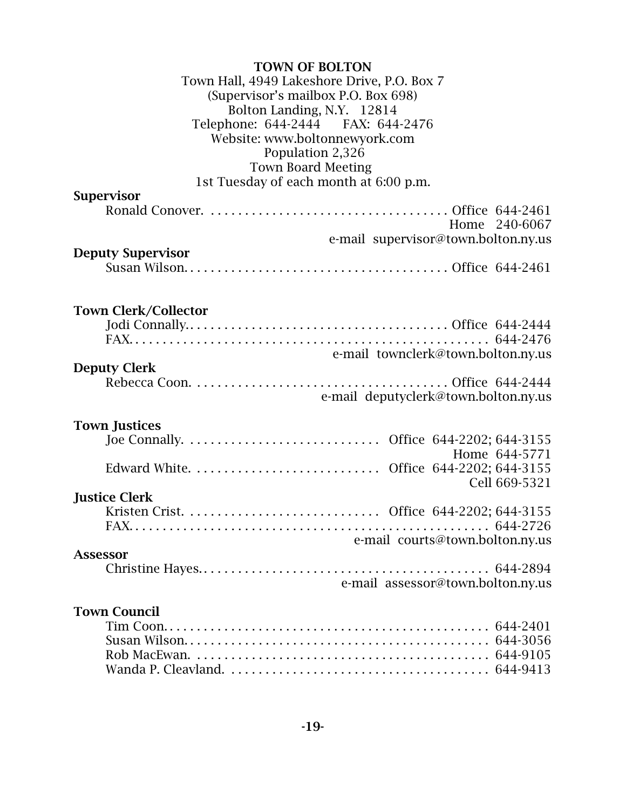| <b>TOWN OF BOLTON</b>                       |  |
|---------------------------------------------|--|
| Town Hall, 4949 Lakeshore Drive, P.O. Box 7 |  |
| (Supervisor's mailbox P.O. Box 698)         |  |
| Bolton Landing, N.Y. 12814                  |  |
| Telephone: 644-2444 FAX: 644-2476           |  |
| Website: www.boltonnewyork.com              |  |
| Population 2,326                            |  |
| <b>Town Board Meeting</b>                   |  |
| 1st Tuesday of each month at 6:00 p.m.      |  |
| <b>Supervisor</b>                           |  |
|                                             |  |
| Home 240-6067                               |  |
| e-mail supervisor@town.bolton.ny.us         |  |
| <b>Deputy Supervisor</b>                    |  |
|                                             |  |
|                                             |  |
|                                             |  |
| <b>Town Clerk/Collector</b>                 |  |
|                                             |  |
|                                             |  |
| e-mail townclerk@town.bolton.ny.us          |  |
| <b>Deputy Clerk</b>                         |  |
|                                             |  |
| e-mail deputyclerk@town.bolton.ny.us        |  |
| <b>Town Justices</b>                        |  |
|                                             |  |
| Home 644-5771                               |  |
|                                             |  |
| Cell 669-5321                               |  |
| <b>Justice Clerk</b>                        |  |
|                                             |  |
|                                             |  |
| e-mail courts@town.bolton.ny.us             |  |
| <b>Assessor</b>                             |  |
|                                             |  |
| e-mail assessor@town.bolton.ny.us           |  |
|                                             |  |
| <b>Town Council</b>                         |  |
|                                             |  |
|                                             |  |
|                                             |  |
|                                             |  |
|                                             |  |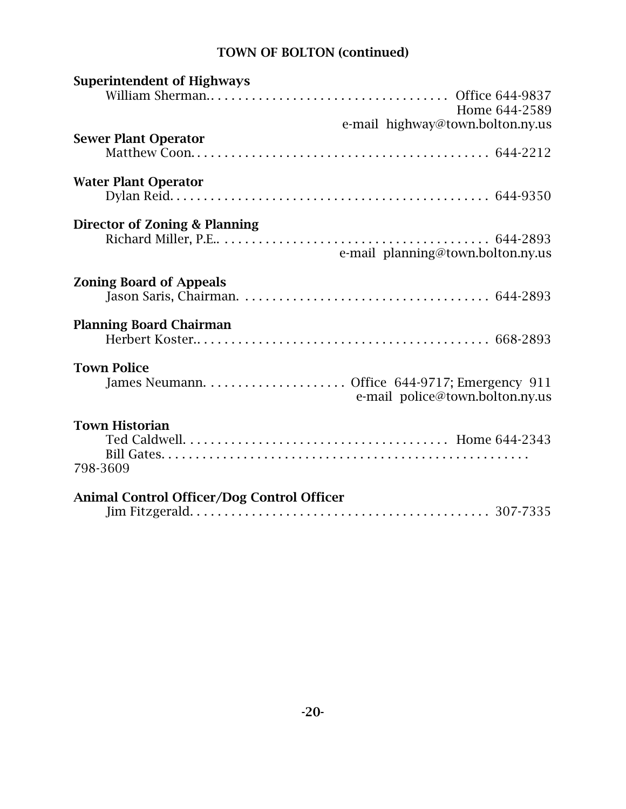# TOWN OF BOLTON (continued)

| <b>Superintendent of Highways</b>                 |
|---------------------------------------------------|
|                                                   |
| Home 644-2589                                     |
| e-mail highway@town.bolton.ny.us                  |
| <b>Sewer Plant Operator</b>                       |
|                                                   |
| <b>Water Plant Operator</b>                       |
|                                                   |
| Director of Zoning & Planning                     |
|                                                   |
| e-mail planning@town.bolton.ny.us                 |
|                                                   |
| <b>Zoning Board of Appeals</b>                    |
| <b>Planning Board Chairman</b>                    |
|                                                   |
| <b>Town Police</b>                                |
| e-mail police@town.bolton.ny.us                   |
| <b>Town Historian</b>                             |
|                                                   |
|                                                   |
| 798-3609                                          |
| <b>Animal Control Officer/Dog Control Officer</b> |
|                                                   |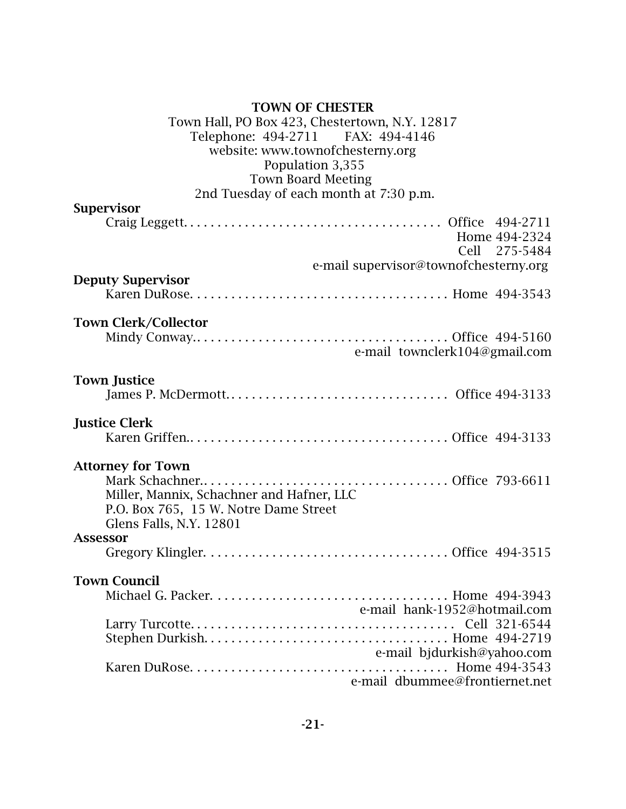| <b>TOWN OF CHESTER</b>                         |
|------------------------------------------------|
| Town Hall, PO Box 423, Chestertown, N.Y. 12817 |
| Telephone: 494-2711 FAX: 494-4146              |
| website: www.townofchesterny.org               |
| Population 3,355                               |
| <b>Town Board Meeting</b>                      |
| 2nd Tuesday of each month at 7:30 p.m.         |
| <b>Supervisor</b>                              |
| Home 494-2324<br>Cell 275-5484                 |
| e-mail supervisor@townofchesterny.org          |
| <b>Deputy Supervisor</b>                       |
|                                                |
|                                                |
| <b>Town Clerk/Collector</b>                    |
|                                                |
| e-mail townclerk104@gmail.com                  |
|                                                |
| <b>Town Justice</b>                            |
|                                                |
|                                                |
| <b>Justice Clerk</b>                           |
|                                                |
|                                                |
| <b>Attorney for Town</b>                       |
|                                                |
| Miller, Mannix, Schachner and Hafner, LLC      |
| P.O. Box 765, 15 W. Notre Dame Street          |
| Glens Falls, N.Y. 12801                        |
| <b>Assessor</b>                                |
|                                                |
|                                                |
| <b>Town Council</b>                            |
|                                                |
| e-mail hank-1952@hotmail.com                   |
|                                                |
|                                                |
| e-mail bjdurkish@yahoo.com                     |
|                                                |
| e-mail dbummee@frontiernet.net                 |
|                                                |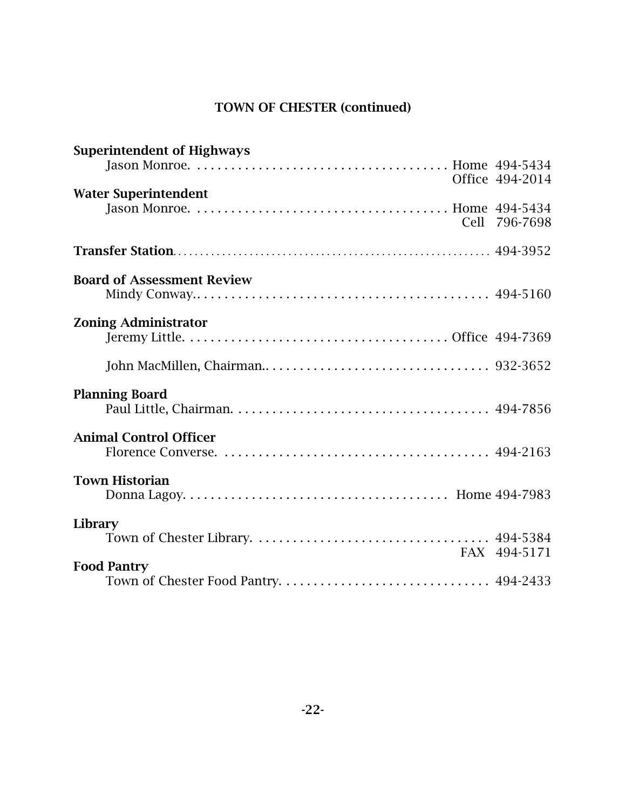# TOWN OF CHESTER (continued)

| <b>Superintendent of Highways</b> |                 |
|-----------------------------------|-----------------|
|                                   | Office 494-2014 |
| <b>Water Superintendent</b>       |                 |
|                                   | Cell 796-7698   |
|                                   |                 |
| <b>Board of Assessment Review</b> |                 |
| <b>Zoning Administrator</b>       |                 |
|                                   |                 |
|                                   |                 |
| <b>Planning Board</b>             |                 |
|                                   |                 |
| <b>Animal Control Officer</b>     |                 |
|                                   |                 |
| <b>Town Historian</b>             |                 |
|                                   |                 |
| Library                           |                 |
|                                   | FAX 494-5171    |
| <b>Food Pantry</b>                |                 |
|                                   |                 |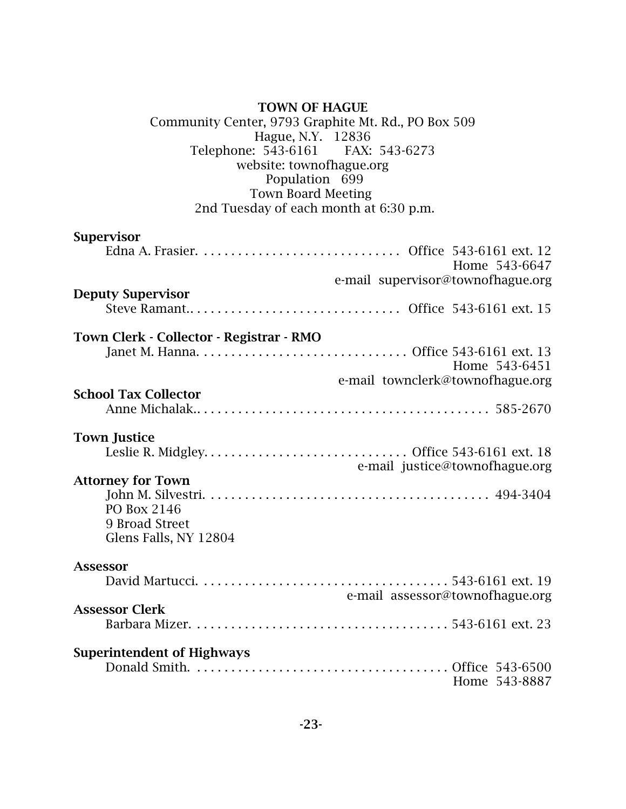| <b>TOWN OF HAGUE</b><br>Community Center, 9793 Graphite Mt. Rd., PO Box 509<br>Hague, N.Y. 12836<br>Telephone: 543-6161 FAX: 543-6273<br>website: townofhague.org<br>Population 699<br><b>Town Board Meeting</b><br>2nd Tuesday of each month at 6:30 p.m. |
|------------------------------------------------------------------------------------------------------------------------------------------------------------------------------------------------------------------------------------------------------------|
| <b>Supervisor</b>                                                                                                                                                                                                                                          |
| Home 543-6647                                                                                                                                                                                                                                              |
| e-mail supervisor@townofhague.org                                                                                                                                                                                                                          |
| <b>Deputy Supervisor</b>                                                                                                                                                                                                                                   |
| Town Clerk - Collector - Registrar - RMO                                                                                                                                                                                                                   |
| Home 543-6451                                                                                                                                                                                                                                              |
| e-mail townclerk@townofhague.org                                                                                                                                                                                                                           |
| <b>School Tax Collector</b>                                                                                                                                                                                                                                |
| <b>Town Justice</b>                                                                                                                                                                                                                                        |
| e-mail justice@townofhague.org                                                                                                                                                                                                                             |
| <b>Attorney for Town</b>                                                                                                                                                                                                                                   |
| PO Box 2146<br>9 Broad Street<br>Glens Falls, NY 12804                                                                                                                                                                                                     |
| <b>Assessor</b>                                                                                                                                                                                                                                            |
| e-mail assessor@townofhague.org                                                                                                                                                                                                                            |
| <b>Assessor Clerk</b>                                                                                                                                                                                                                                      |
|                                                                                                                                                                                                                                                            |
| <b>Superintendent of Highways</b><br>Home 543-8887                                                                                                                                                                                                         |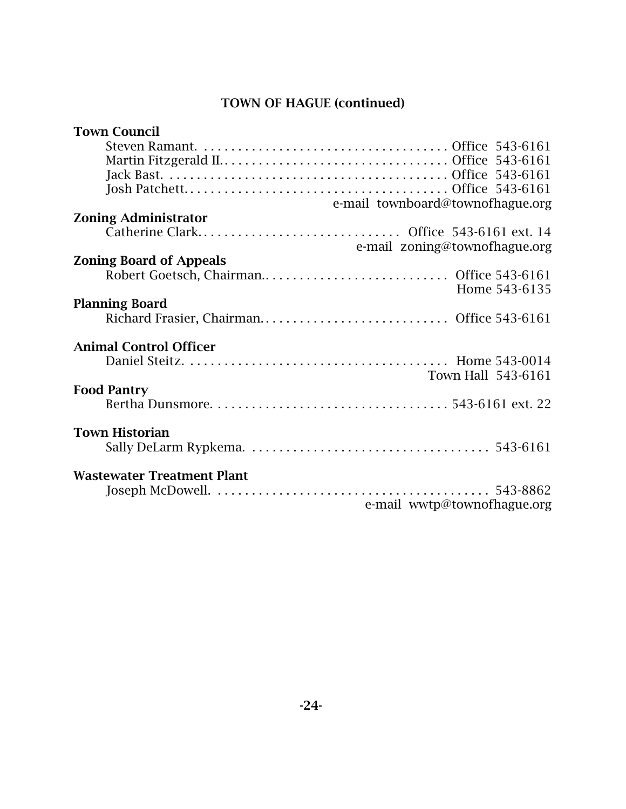## TOWN OF HAGUE (continued)

| <b>Town Council</b>               |
|-----------------------------------|
|                                   |
|                                   |
|                                   |
|                                   |
|                                   |
| e-mail townboard@townofhague.org  |
| <b>Zoning Administrator</b>       |
| e-mail zoning@townofhague.org     |
| <b>Zoning Board of Appeals</b>    |
|                                   |
|                                   |
| Home 543-6135                     |
| <b>Planning Board</b>             |
|                                   |
|                                   |
| <b>Animal Control Officer</b>     |
|                                   |
| Town Hall 543-6161                |
|                                   |
| <b>Food Pantry</b>                |
|                                   |
|                                   |
| <b>Town Historian</b>             |
|                                   |
|                                   |
| <b>Wastewater Treatment Plant</b> |
|                                   |
| e-mail wwtp@townofhague.org       |
|                                   |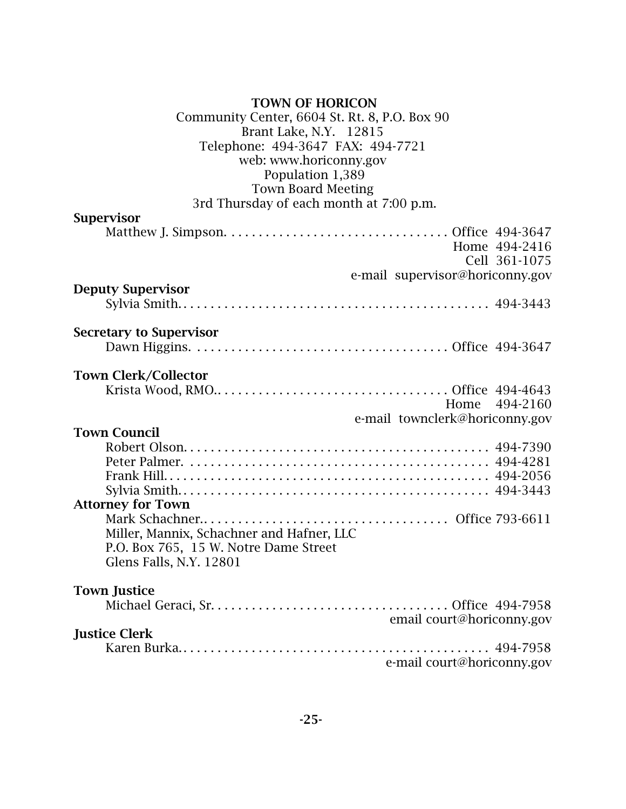## TOWN OF HORICON

| Community Center, 6604 St. Rt. 8, P.O. Box 90 |
|-----------------------------------------------|
| Brant Lake, N.Y. 12815                        |
| Telephone: 494-3647 FAX: 494-7721             |
| web: www.horiconny.gov                        |
| Population 1,389                              |
| <b>Town Board Meeting</b>                     |
| 3rd Thursday of each month at 7:00 p.m.       |
| <b>Supervisor</b>                             |
|                                               |
| Home 494-2416                                 |
| Cell 361-1075                                 |
| e-mail supervisor@horiconny.gov               |
| <b>Deputy Supervisor</b>                      |
|                                               |
|                                               |
| <b>Secretary to Supervisor</b>                |
|                                               |
|                                               |
| <b>Town Clerk/Collector</b>                   |
|                                               |
| Home 494-2160                                 |
| e-mail townclerk@horiconny.gov                |
| <b>Town Council</b>                           |
|                                               |
|                                               |
|                                               |
|                                               |
| <b>Attorney for Town</b>                      |
|                                               |
|                                               |
| Miller, Mannix, Schachner and Hafner, LLC     |
| P.O. Box 765, 15 W. Notre Dame Street         |
| Glens Falls, N.Y. 12801                       |
| <b>Town Justice</b>                           |
|                                               |
| email court@horiconny.gov                     |
| <b>Justice Clerk</b>                          |
|                                               |
|                                               |
| e-mail court@horiconny.gov                    |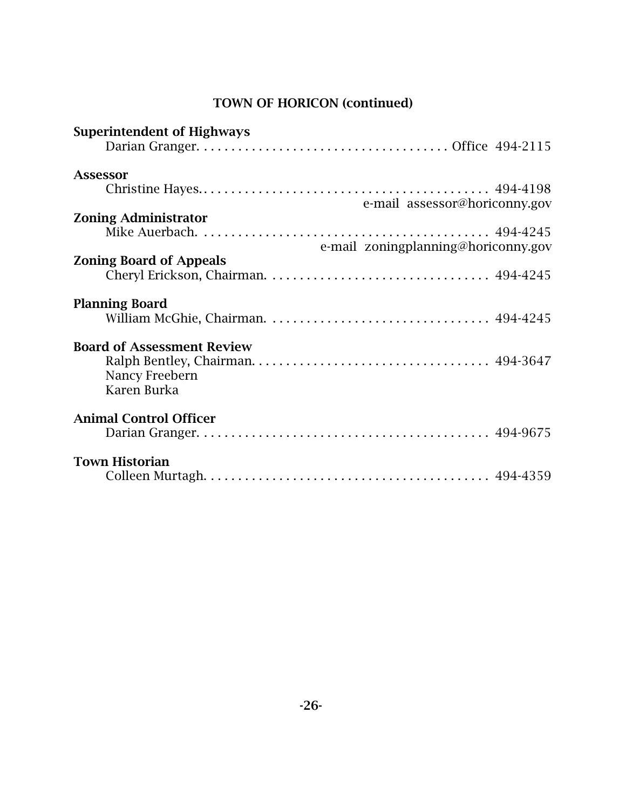| <b>Superintendent of Highways</b>                                  |                                     |
|--------------------------------------------------------------------|-------------------------------------|
| Assessor                                                           | e-mail assessor@horiconny.gov       |
| <b>Zoning Administrator</b>                                        | e-mail zoningplanning@horiconny.gov |
| <b>Zoning Board of Appeals</b>                                     |                                     |
| <b>Planning Board</b>                                              |                                     |
| <b>Board of Assessment Review</b><br>Nancy Freebern<br>Karen Burka |                                     |
| <b>Animal Control Officer</b>                                      |                                     |
| <b>Town Historian</b>                                              |                                     |

# TOWN OF HORICON (continued)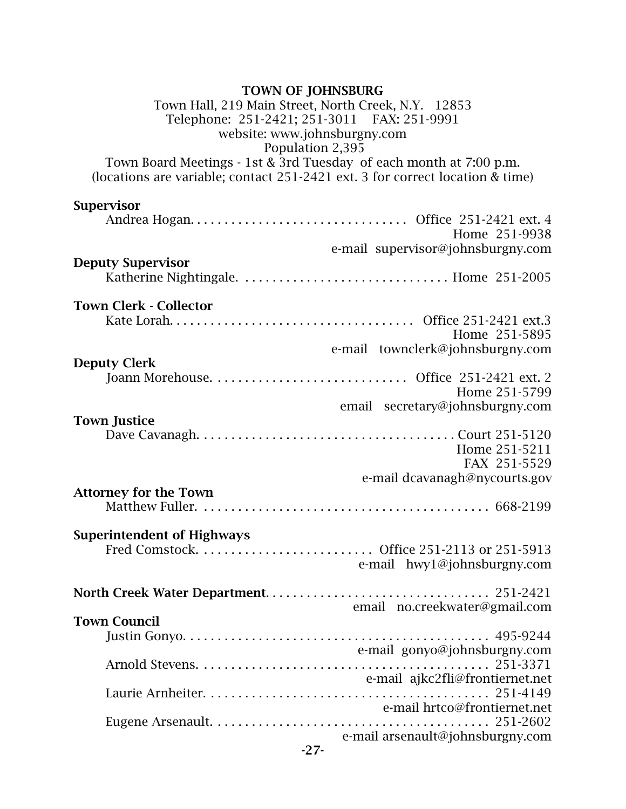### TOWN OF JOHNSBURG

### Town Hall, 219 Main Street, North Creek, N.Y. 12853 Telephone: 251-2421; 251-3011 FAX: 251-9991 website: www.johnsburgny.com Population 2,395

Town Board Meetings - 1st & 3rd Tuesday of each month at 7:00 p.m. (locations are variable; contact 251-2421 ext. 3 for correct location & time)

## **Supervisor**

|                                   | Home 251-9938                     |
|-----------------------------------|-----------------------------------|
|                                   | e-mail supervisor@johnsburgny.com |
| <b>Deputy Supervisor</b>          |                                   |
|                                   |                                   |
|                                   |                                   |
| <b>Town Clerk - Collector</b>     |                                   |
|                                   |                                   |
|                                   | Home 251-5895                     |
|                                   | e-mail townclerk@johnsburgny.com  |
| <b>Deputy Clerk</b>               |                                   |
|                                   |                                   |
|                                   | Home 251-5799                     |
|                                   | email secretary@johnsburgny.com   |
| <b>Town Justice</b>               |                                   |
|                                   |                                   |
|                                   | Home 251-5211                     |
|                                   | FAX 251-5529                      |
|                                   | e-mail dcavanagh@nycourts.gov     |
| <b>Attorney for the Town</b>      |                                   |
|                                   |                                   |
|                                   |                                   |
| <b>Superintendent of Highways</b> |                                   |
|                                   |                                   |
|                                   | e-mail hwy1@johnsburgny.com       |
|                                   |                                   |
|                                   |                                   |
|                                   | email no.creekwater@gmail.com     |
| <b>Town Council</b>               |                                   |
|                                   |                                   |
|                                   | e-mail gonyo@johnsburgny.com      |
|                                   |                                   |
|                                   | e-mail ajkc2fli@frontiernet.net   |
|                                   | 251-4149                          |
|                                   | e-mail hrtco@frontiernet.net      |
|                                   |                                   |
|                                   | e-mail arsenault@johnsburgny.com  |
| $-27-$                            |                                   |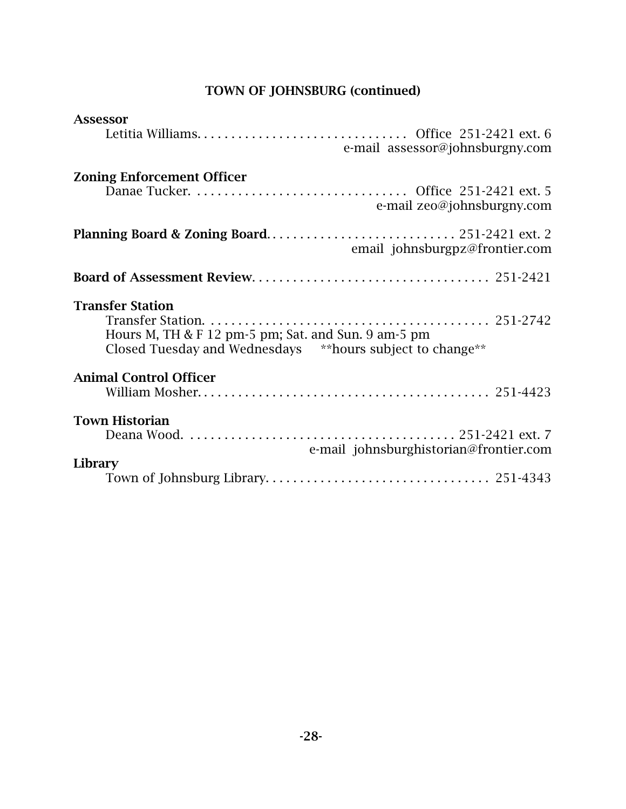# TOWN OF JOHNSBURG (continued)

| <b>Assessor</b>                                            |
|------------------------------------------------------------|
| e-mail assessor@johnsburgny.com                            |
| <b>Zoning Enforcement Officer</b>                          |
| e-mail zeo@johnsburgny.com                                 |
| email johnsburgpz@frontier.com                             |
|                                                            |
| <b>Transfer Station</b>                                    |
| Hours M, TH & F 12 pm-5 pm; Sat. and Sun. 9 am-5 pm        |
| Closed Tuesday and Wednesdays ** hours subject to change** |
| <b>Animal Control Officer</b>                              |
|                                                            |
| <b>Town Historian</b>                                      |
| e-mail johnsburghistorian@frontier.com                     |
| Library                                                    |
|                                                            |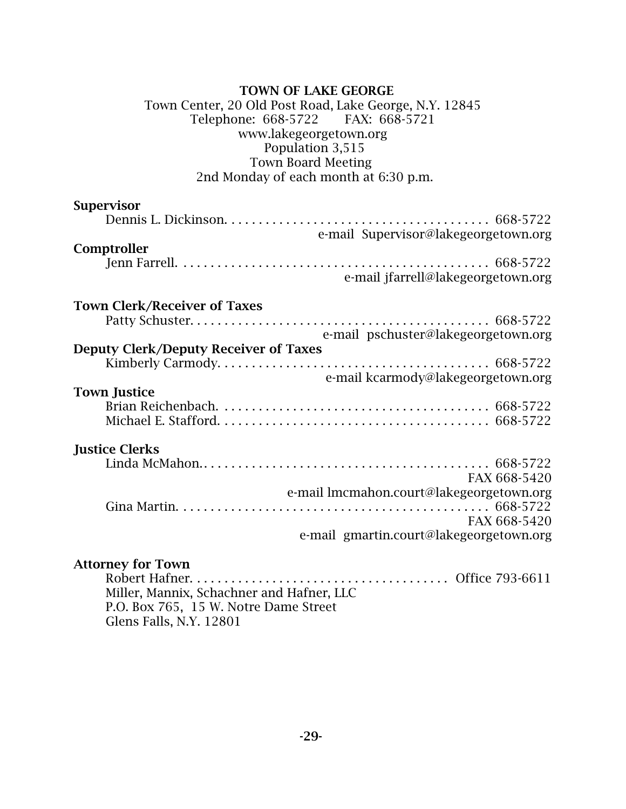### TOWN OF LAKE GEORGE

### Town Center, 20 Old Post Road, Lake George, N.Y. 12845 Telephone: 668-5722 FAX: 668-5721 www.lakegeorgetown.org Population 3,515 Town Board Meeting 2nd Monday of each month at 6:30 p.m.

| <b>Supervisor</b>                                                                                                                                                                                |
|--------------------------------------------------------------------------------------------------------------------------------------------------------------------------------------------------|
|                                                                                                                                                                                                  |
| e-mail Supervisor@lakegeorgetown.org                                                                                                                                                             |
| Comptroller                                                                                                                                                                                      |
|                                                                                                                                                                                                  |
| e-mail jfarrell@lakegeorgetown.org                                                                                                                                                               |
| <b>Town Clerk/Receiver of Taxes</b>                                                                                                                                                              |
|                                                                                                                                                                                                  |
| e-mail pschuster@lakegeorgetown.org                                                                                                                                                              |
| <b>Deputy Clerk/Deputy Receiver of Taxes</b>                                                                                                                                                     |
|                                                                                                                                                                                                  |
| e-mail kcarmody@lakegeorgetown.org                                                                                                                                                               |
| <b>Town Justice</b>                                                                                                                                                                              |
|                                                                                                                                                                                                  |
|                                                                                                                                                                                                  |
| <b>Justice Clerks</b>                                                                                                                                                                            |
|                                                                                                                                                                                                  |
| FAX 668-5420                                                                                                                                                                                     |
| e-mail lmcmahon.court@lakegeorgetown.org                                                                                                                                                         |
|                                                                                                                                                                                                  |
| FAX 668-5420                                                                                                                                                                                     |
| e-mail gmartin.court@lakegeorgetown.org                                                                                                                                                          |
| <b>Attorney for Town</b>                                                                                                                                                                         |
| $\mathbf{r}$ $\mathbf{r}$ $\mathbf{r}$ $\mathbf{r}$ $\mathbf{r}$<br>$\bigcap_{n=1}^{\infty}$ $\bigcap_{n=1}^{\infty}$ $\bigcap_{n=1}^{\infty}$ $\bigcap_{n=1}^{\infty}$ $\bigcap_{n=1}^{\infty}$ |

Robert Hafner. . . . . . . . . . . . . . . . . . . . . . . . . . . . . . . . . . . . . . Office 793-6611 Miller, Mannix, Schachner and Hafner, LLC P.O. Box 765, 15 W. Notre Dame Street Glens Falls, N.Y. 12801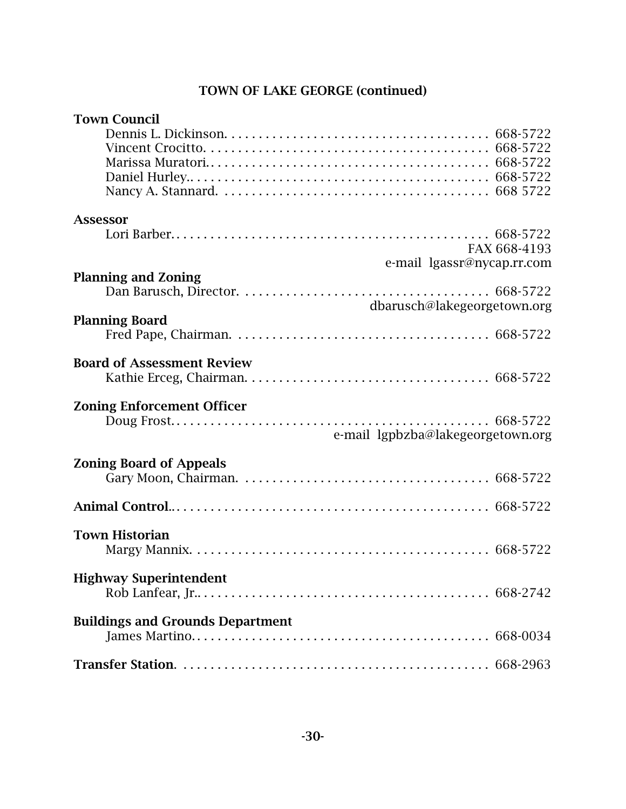## TOWN OF LAKE GEORGE (continued)

| <b>Town Council</b>                     |  |
|-----------------------------------------|--|
|                                         |  |
|                                         |  |
|                                         |  |
|                                         |  |
|                                         |  |
|                                         |  |
| <b>Assessor</b>                         |  |
|                                         |  |
| FAX 668-4193                            |  |
| e-mail lgassr@nycap.rr.com              |  |
| <b>Planning and Zoning</b>              |  |
|                                         |  |
| dbarusch@lakegeorgetown.org             |  |
| <b>Planning Board</b>                   |  |
|                                         |  |
|                                         |  |
| <b>Board of Assessment Review</b>       |  |
|                                         |  |
| <b>Zoning Enforcement Officer</b>       |  |
|                                         |  |
| e-mail lgpbzba@lakegeorgetown.org       |  |
|                                         |  |
| <b>Zoning Board of Appeals</b>          |  |
|                                         |  |
|                                         |  |
|                                         |  |
|                                         |  |
| <b>Town Historian</b>                   |  |
|                                         |  |
|                                         |  |
| <b>Highway Superintendent</b>           |  |
|                                         |  |
| <b>Buildings and Grounds Department</b> |  |
|                                         |  |
|                                         |  |
|                                         |  |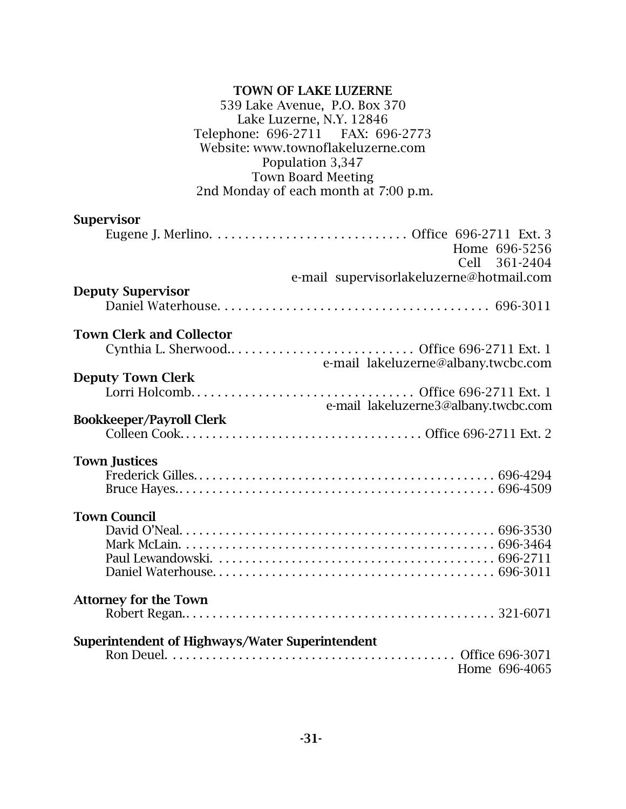### TOWN OF LAKE LUZERNE 539 Lake Avenue, P.O. Box 370 Lake Luzerne, N.Y. 12846 Telephone: 696-2711 FAX: 696-2773 Website: www.townoflakeluzerne.com Population 3,347 Town Board Meeting 2nd Monday of each month at 7:00 p.m.

| <b>Supervisor</b>                                         |  |
|-----------------------------------------------------------|--|
|                                                           |  |
| Home 696-5256                                             |  |
| Cell 361-2404<br>e-mail supervisorlakeluzerne@hotmail.com |  |
| <b>Deputy Supervisor</b>                                  |  |
|                                                           |  |
| <b>Town Clerk and Collector</b>                           |  |
|                                                           |  |
| e-mail lakeluzerne@albany.twcbc.com                       |  |
| <b>Deputy Town Clerk</b>                                  |  |
| e-mail lakeluzerne3@albany.twcbc.com                      |  |
| <b>Bookkeeper/Payroll Clerk</b>                           |  |
|                                                           |  |
|                                                           |  |
| <b>Town Justices</b>                                      |  |
|                                                           |  |
|                                                           |  |
| <b>Town Council</b>                                       |  |
|                                                           |  |
|                                                           |  |
|                                                           |  |
|                                                           |  |
| <b>Attorney for the Town</b>                              |  |
|                                                           |  |
| Superintendent of Highways/Water Superintendent           |  |
|                                                           |  |
|                                                           |  |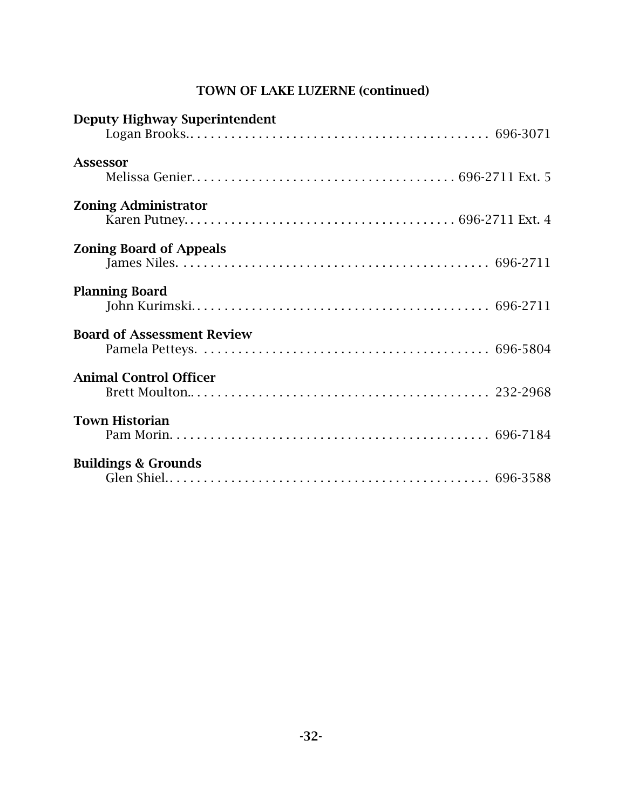| <b>Deputy Highway Superintendent</b> |  |
|--------------------------------------|--|
| <b>Assessor</b>                      |  |
| <b>Zoning Administrator</b>          |  |
| <b>Zoning Board of Appeals</b>       |  |
| <b>Planning Board</b>                |  |
| <b>Board of Assessment Review</b>    |  |
| <b>Animal Control Officer</b>        |  |
| <b>Town Historian</b>                |  |
| <b>Buildings &amp; Grounds</b>       |  |

## TOWN OF LAKE LUZERNE (continued)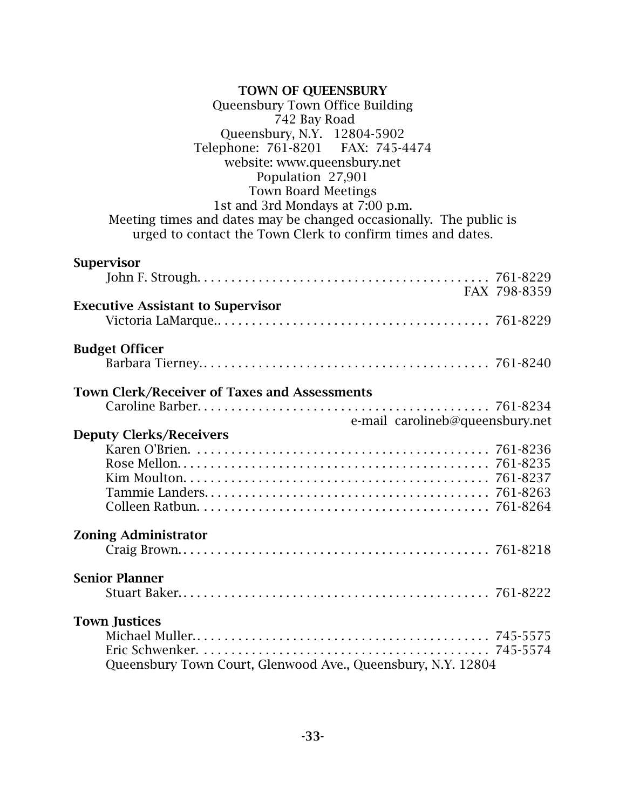| <b>TOWN OF QUEENSBURY</b><br>Queensbury Town Office Building<br>742 Bay Road<br>Queensbury, N.Y. 12804-5902<br>Telephone: 761-8201 FAX: 745-4474<br>website: www.queensbury.net<br>Population 27,901<br><b>Town Board Meetings</b><br>1st and 3rd Mondays at 7:00 p.m.<br>Meeting times and dates may be changed occasionally. The public is<br>urged to contact the Town Clerk to confirm times and dates. |              |
|-------------------------------------------------------------------------------------------------------------------------------------------------------------------------------------------------------------------------------------------------------------------------------------------------------------------------------------------------------------------------------------------------------------|--------------|
| <b>Supervisor</b>                                                                                                                                                                                                                                                                                                                                                                                           | FAX 798-8359 |
| <b>Executive Assistant to Supervisor</b>                                                                                                                                                                                                                                                                                                                                                                    |              |
| <b>Budget Officer</b>                                                                                                                                                                                                                                                                                                                                                                                       |              |
| <b>Town Clerk/Receiver of Taxes and Assessments</b><br>e-mail carolineb@queensbury.net                                                                                                                                                                                                                                                                                                                      |              |
| <b>Deputy Clerks/Receivers</b>                                                                                                                                                                                                                                                                                                                                                                              |              |
| <b>Zoning Administrator</b>                                                                                                                                                                                                                                                                                                                                                                                 |              |
| <b>Senior Planner</b>                                                                                                                                                                                                                                                                                                                                                                                       |              |
| <b>Town Justices</b><br>Queensbury Town Court, Glenwood Ave., Queensbury, N.Y. 12804                                                                                                                                                                                                                                                                                                                        |              |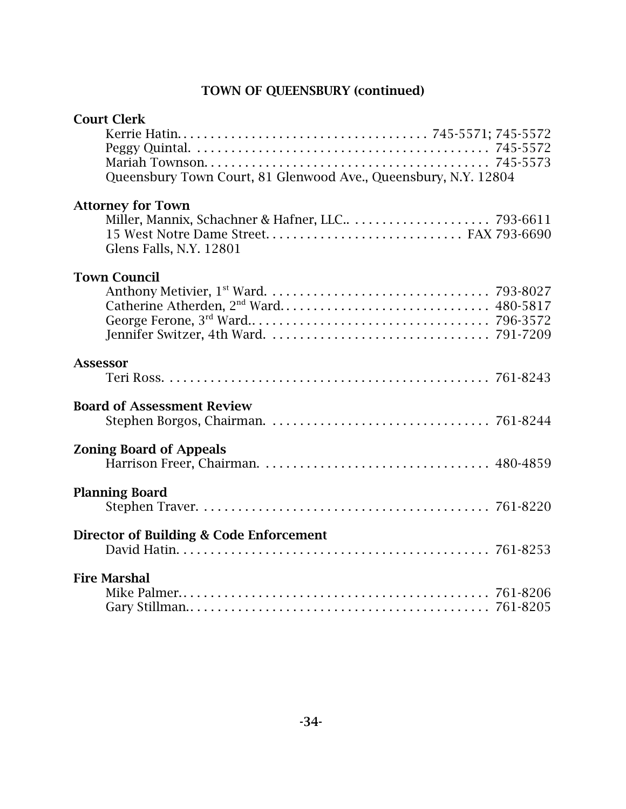## TOWN OF QUEENSBURY (continued)

| <b>Court Clerk</b>                                              |  |
|-----------------------------------------------------------------|--|
|                                                                 |  |
|                                                                 |  |
|                                                                 |  |
| Queensbury Town Court, 81 Glenwood Ave., Queensbury, N.Y. 12804 |  |
| <b>Attorney for Town</b>                                        |  |
|                                                                 |  |
| 15 West Notre Dame Street FAX 793-6690                          |  |
| Glens Falls, N.Y. 12801                                         |  |
| <b>Town Council</b>                                             |  |
|                                                                 |  |
|                                                                 |  |
|                                                                 |  |
|                                                                 |  |
|                                                                 |  |
| <b>Assessor</b>                                                 |  |
|                                                                 |  |
| <b>Board of Assessment Review</b>                               |  |
|                                                                 |  |
|                                                                 |  |
| <b>Zoning Board of Appeals</b>                                  |  |
|                                                                 |  |
| <b>Planning Board</b>                                           |  |
|                                                                 |  |
|                                                                 |  |
| Director of Building & Code Enforcement                         |  |
|                                                                 |  |
| <b>Fire Marshal</b>                                             |  |
|                                                                 |  |
|                                                                 |  |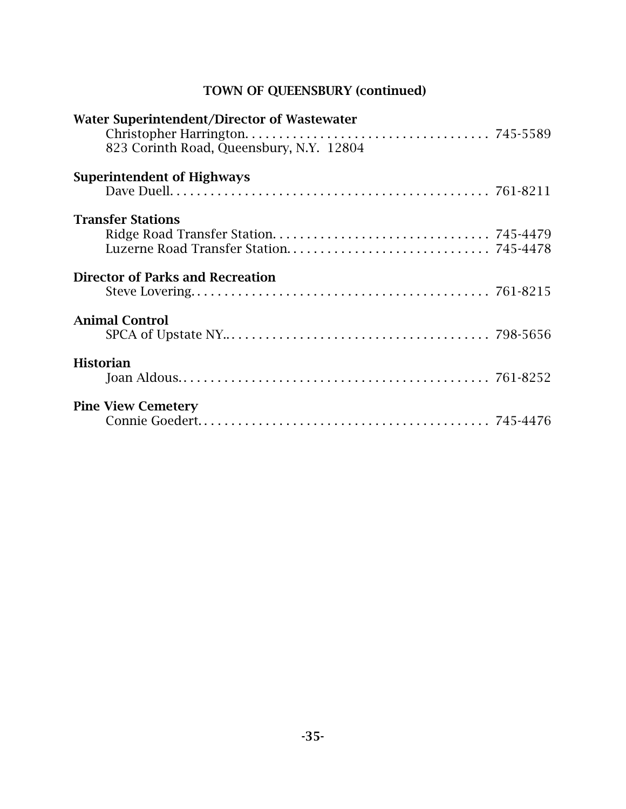## TOWN OF QUEENSBURY (continued)

| Water Superintendent/Director of Wastewater<br>823 Corinth Road, Queensbury, N.Y. 12804 |  |
|-----------------------------------------------------------------------------------------|--|
| <b>Superintendent of Highways</b>                                                       |  |
| <b>Transfer Stations</b>                                                                |  |
| <b>Director of Parks and Recreation</b>                                                 |  |
| <b>Animal Control</b>                                                                   |  |
| <b>Historian</b>                                                                        |  |
| <b>Pine View Cemetery</b>                                                               |  |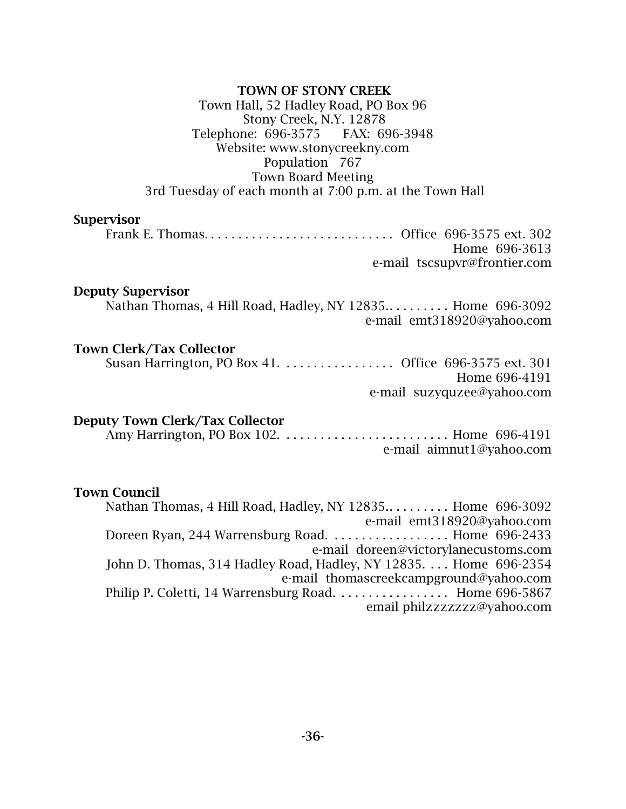### TOWN OF STONY CREEK Town Hall, 52 Hadley Road, PO Box 96 Stony Creek, N.Y. 12878 Telephone: 696-3575 FAX: 696-3948 Website: www.stonycreekny.com Population 767 Town Board Meeting 3rd Tuesday of each month at 7:00 p.m. at the Town Hall

#### Supervisor

Frank E. Thomas. . . . . . . . . . . . . . . . . . . . . . . . . . . . Office 696-3575 ext. 302 Home 696-3613 e-mail tscsupvr@frontier.com

#### Deputy Supervisor

Nathan Thomas, 4 Hill Road, Hadley, NY 12835.. . . . . . . . . Home 696-3092 e-mail emt318920@yahoo.com

#### Town Clerk/Tax Collector

Susan Harrington, PO Box 41. . . . . . . . . . . . . . . . . Office 696-3575 ext. 301 Home 696-4191 e-mail suzyquzee@yahoo.com

#### Deputy Town Clerk/Tax Collector

Amy Harrington, PO Box 102. . . . . . . . . . . . . . . . . . . . . . . . . Home 696-4191 e-mail aimnut1@yahoo.com

#### Town Council

Nathan Thomas, 4 Hill Road, Hadley, NY 12835.. . . . . . . . . Home 696-3092 e-mail emt318920@yahoo.com Doreen Ryan, 244 Warrensburg Road. . . . . . . . . . . . . . . . . . Home 696-2433 e-mail doreen@victorylanecustoms.com John D. Thomas, 314 Hadley Road, Hadley, NY 12835. . . . Home 696-2354 e-mail thomascreekcampground@yahoo.com Philip P. Coletti, 14 Warrensburg Road. . . . . . . . . . . . . . . . Home 696-5867 email philzzzzzzz@yahoo.com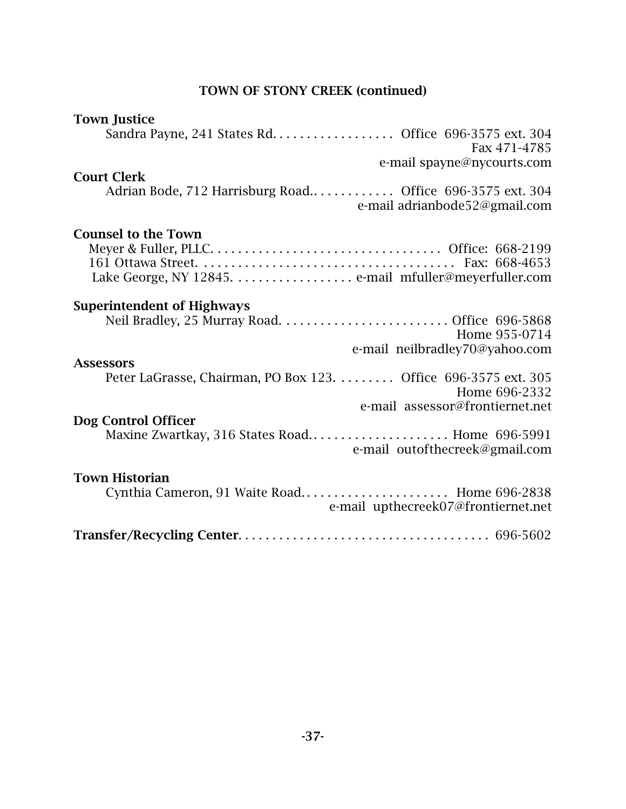## TOWN OF STONY CREEK (continued)

| <b>Town Justice</b>                                            |
|----------------------------------------------------------------|
| Sandra Payne, 241 States Rd. Office 696-3575 ext. 304          |
| Fax 471-4785                                                   |
| e-mail spayne@nycourts.com                                     |
|                                                                |
| <b>Court Clerk</b>                                             |
| Adrian Bode, 712 Harrisburg Road Office 696-3575 ext. 304      |
| e-mail adrianbode52@gmail.com                                  |
|                                                                |
| <b>Counsel to the Town</b>                                     |
|                                                                |
|                                                                |
|                                                                |
|                                                                |
|                                                                |
| <b>Superintendent of Highways</b>                              |
|                                                                |
| Home 955-0714                                                  |
| e-mail neilbradley70@yahoo.com                                 |
| <b>Assessors</b>                                               |
| Peter LaGrasse, Chairman, PO Box 123. Office 696-3575 ext. 305 |
| Home 696-2332                                                  |
| e-mail assessor@frontiernet.net                                |
|                                                                |
| Dog Control Officer                                            |
| Maxine Zwartkay, 316 States Road Home 696-5991                 |
| e-mail outofthecreek@gmail.com                                 |
|                                                                |
| <b>Town Historian</b>                                          |
| Cynthia Cameron, 91 Waite Road Home 696-2838                   |
| e-mail upthecreek07@frontiernet.net                            |
|                                                                |
|                                                                |
|                                                                |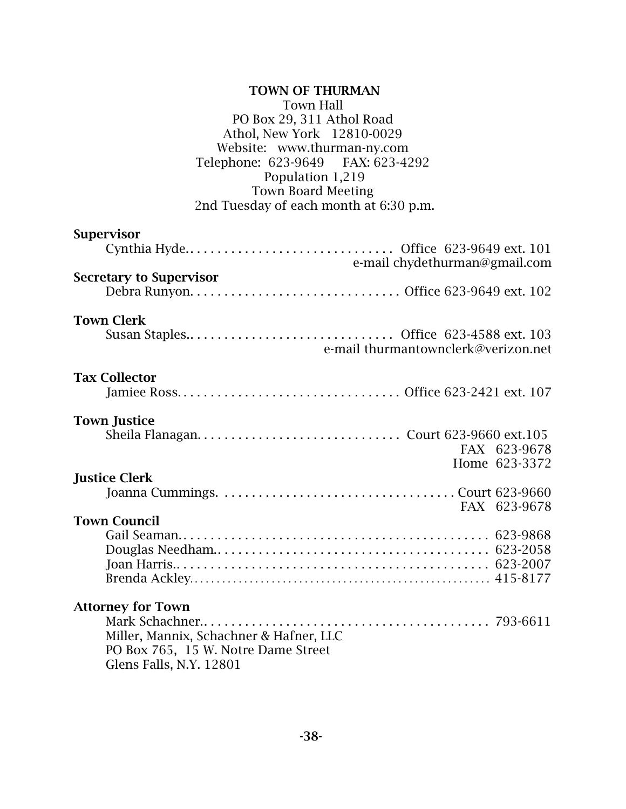| <b>TOWN OF THURMAN</b><br><b>Town Hall</b><br>PO Box 29, 311 Athol Road<br>Athol, New York 12810-0029<br>Website: www.thurman-ny.com<br>Telephone: 623-9649 FAX: 623-4292<br>Population 1,219<br><b>Town Board Meeting</b><br>2nd Tuesday of each month at 6:30 p.m. |
|----------------------------------------------------------------------------------------------------------------------------------------------------------------------------------------------------------------------------------------------------------------------|
| <b>Supervisor</b><br>e-mail chydethurman@gmail.com                                                                                                                                                                                                                   |
| <b>Secretary to Supervisor</b>                                                                                                                                                                                                                                       |
| <b>Town Clerk</b><br>e-mail thurmantownclerk@verizon.net                                                                                                                                                                                                             |
| <b>Tax Collector</b>                                                                                                                                                                                                                                                 |
| <b>Town Justice</b><br>FAX 623-9678<br>Home 623-3372                                                                                                                                                                                                                 |
| <b>Justice Clerk</b><br>FAX 623-9678                                                                                                                                                                                                                                 |
| <b>Town Council</b>                                                                                                                                                                                                                                                  |
| <b>Attorney for Town</b><br>Miller, Mannix, Schachner & Hafner, LLC<br>PO Box 765, 15 W. Notre Dame Street<br>Glens Falls, N.Y. 12801                                                                                                                                |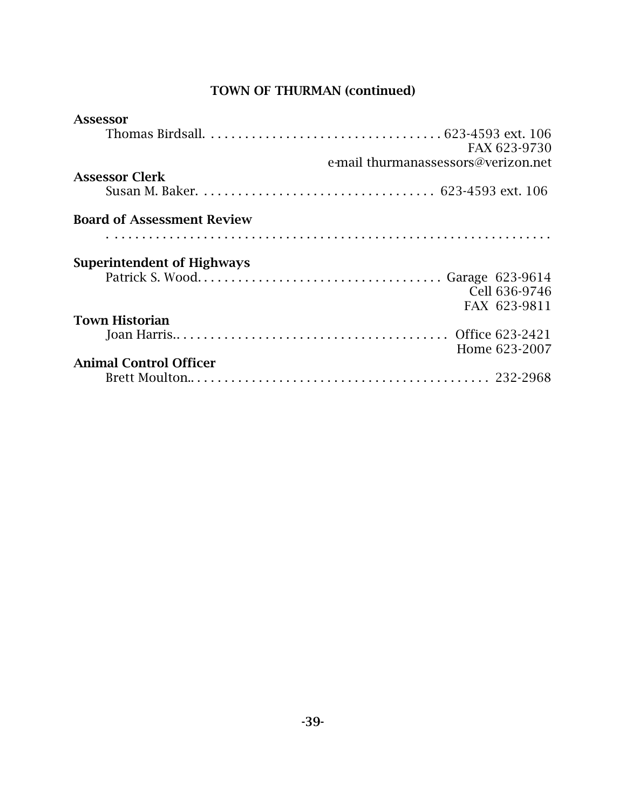## TOWN OF THURMAN (continued)

| Assessor                          |                                     |
|-----------------------------------|-------------------------------------|
|                                   |                                     |
|                                   | FAX 623-9730                        |
|                                   | e-mail thurmanassessors@verizon.net |
| <b>Assessor Clerk</b>             |                                     |
|                                   |                                     |
| <b>Board of Assessment Review</b> |                                     |
|                                   |                                     |
| <b>Superintendent of Highways</b> |                                     |
|                                   |                                     |
|                                   | Cell 636-9746                       |
|                                   | FAX 623-9811                        |
| <b>Town Historian</b>             |                                     |
|                                   |                                     |
|                                   | Home 623-2007                       |
| <b>Animal Control Officer</b>     |                                     |
|                                   |                                     |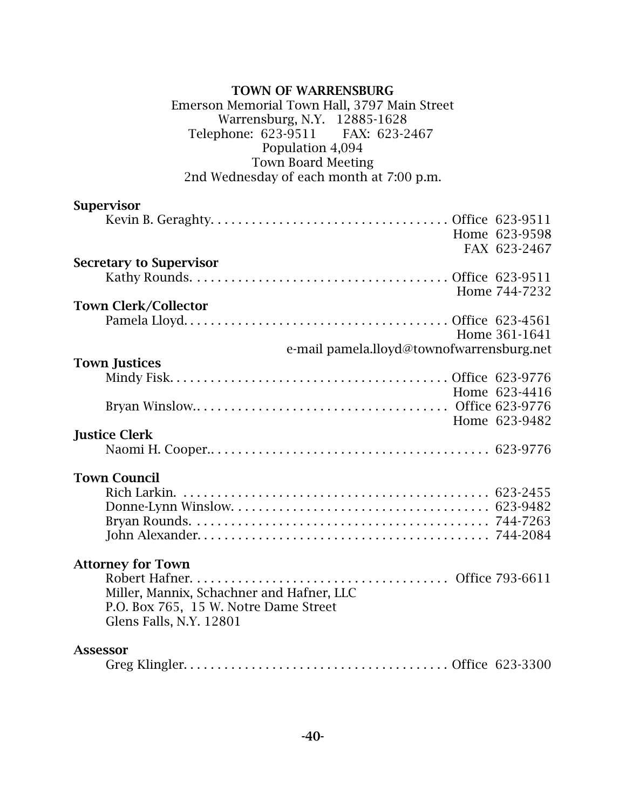### TOWN OF WARRENSBURG Emerson Memorial Town Hall, 3797 Main Street Warrensburg, N.Y. 12885-1628<br>phone: 623-9511 FAX: 623-2467 Telephone: 623-9511 Population 4,094 Town Board Meeting 2nd Wednesday of each month at 7:00 p.m.

## Supervisor

|                                           | Home 623-9598                             |
|-------------------------------------------|-------------------------------------------|
|                                           | FAX 623-2467                              |
| <b>Secretary to Supervisor</b>            |                                           |
|                                           |                                           |
|                                           | Home 744-7232                             |
| <b>Town Clerk/Collector</b>               |                                           |
|                                           |                                           |
|                                           | Home 361-1641                             |
|                                           | e-mail pamela.lloyd@townofwarrensburg.net |
| <b>Town Justices</b>                      |                                           |
|                                           |                                           |
|                                           | Home 623-4416                             |
|                                           |                                           |
|                                           | Home 623-9482                             |
| <b>Justice Clerk</b>                      |                                           |
|                                           |                                           |
|                                           |                                           |
| <b>Town Council</b>                       |                                           |
|                                           |                                           |
|                                           |                                           |
|                                           |                                           |
|                                           |                                           |
|                                           |                                           |
| <b>Attorney for Town</b>                  |                                           |
|                                           |                                           |
| Miller, Mannix, Schachner and Hafner, LLC |                                           |
| P.O. Box 765, 15 W. Notre Dame Street     |                                           |
| Glens Falls, N.Y. 12801                   |                                           |
| <b>Assessor</b>                           |                                           |
|                                           |                                           |

|--|--|--|--|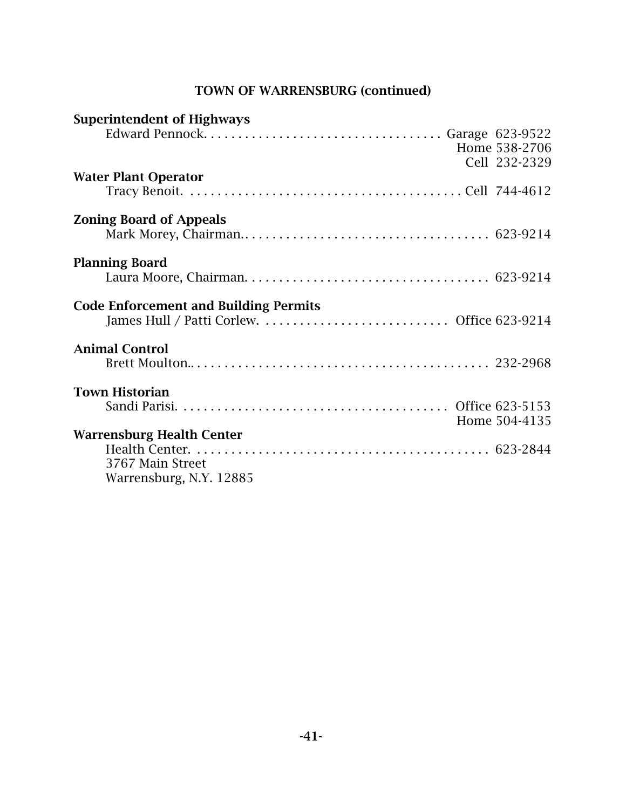## TOWN OF WARRENSBURG (continued)

| <b>Superintendent of Highways</b>            |               |
|----------------------------------------------|---------------|
|                                              |               |
|                                              | Home 538-2706 |
|                                              | Cell 232-2329 |
| <b>Water Plant Operator</b>                  |               |
|                                              |               |
| <b>Zoning Board of Appeals</b>               |               |
|                                              |               |
| <b>Planning Board</b>                        |               |
|                                              |               |
| <b>Code Enforcement and Building Permits</b> |               |
|                                              |               |
| <b>Animal Control</b>                        |               |
|                                              |               |
|                                              |               |
| <b>Town Historian</b>                        |               |
|                                              |               |
|                                              | Home 504-4135 |
| <b>Warrensburg Health Center</b>             |               |
|                                              |               |
| 3767 Main Street                             |               |
| Warrensburg, N.Y. 12885                      |               |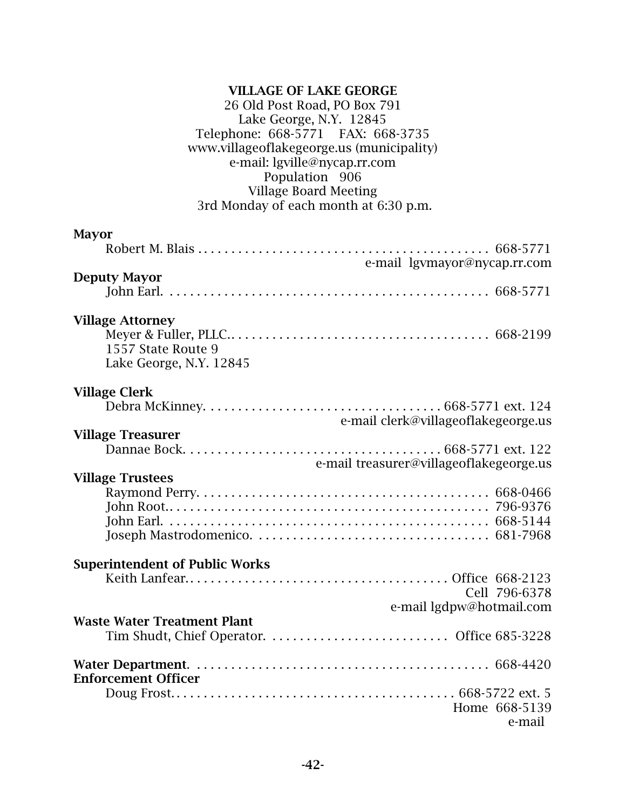### VILLAGE OF LAKE GEORGE 26 Old Post Road, PO Box 791 Lake George, N.Y. 12845 Telephone: 668-5771 FAX: 668-3735 www.villageoflakegeorge.us (municipality) e-mail: lgville@nycap.rr.com Population 906 Village Board Meeting 3rd Monday of each month at 6:30 p.m.

| <b>Mayor</b>                                                             |
|--------------------------------------------------------------------------|
|                                                                          |
| e-mail lgymayor@nycap.rr.com<br><b>Deputy Mayor</b>                      |
|                                                                          |
| <b>Village Attorney</b><br>1557 State Route 9<br>Lake George, N.Y. 12845 |
| <b>Village Clerk</b>                                                     |
| e-mail clerk@villageoflakegeorge.us                                      |
| <b>Village Treasurer</b>                                                 |
| e-mail treasurer@villageoflakegeorge.us                                  |
| <b>Village Trustees</b>                                                  |
|                                                                          |
|                                                                          |
|                                                                          |
| <b>Superintendent of Public Works</b>                                    |
|                                                                          |
| Cell 796-6378                                                            |
| e-mail lgdpw@hotmail.com                                                 |
| <b>Waste Water Treatment Plant</b>                                       |
| <b>Enforcement Officer</b>                                               |
|                                                                          |
| Home 668-5139<br>e-mail                                                  |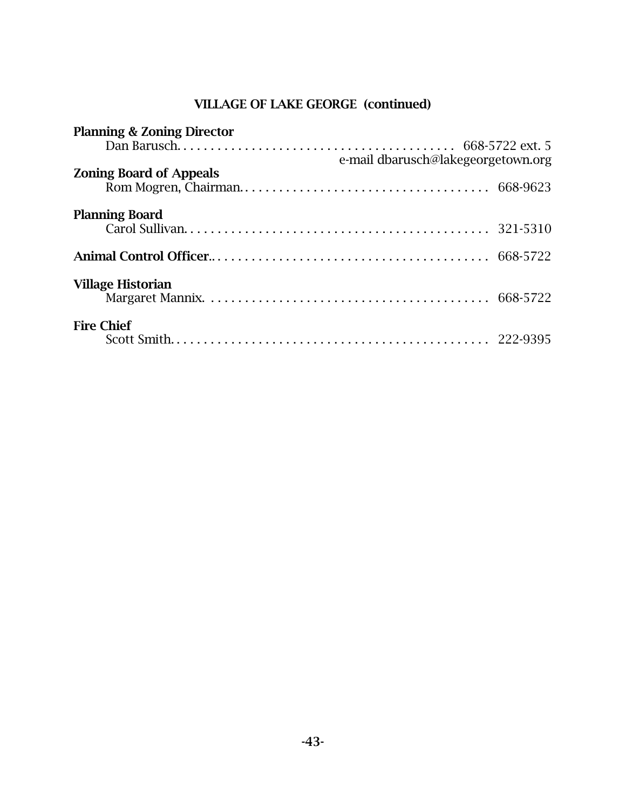# VILLAGE OF LAKE GEORGE (continued)

| <b>Planning &amp; Zoning Director</b> |                                    |
|---------------------------------------|------------------------------------|
|                                       |                                    |
|                                       | e-mail dbarusch@lakegeorgetown.org |
| <b>Zoning Board of Appeals</b>        |                                    |
|                                       |                                    |
| <b>Planning Board</b>                 |                                    |
|                                       |                                    |
|                                       |                                    |
|                                       |                                    |
|                                       |                                    |
| <b>Village Historian</b>              |                                    |
|                                       |                                    |
|                                       |                                    |
| <b>Fire Chief</b>                     |                                    |
|                                       |                                    |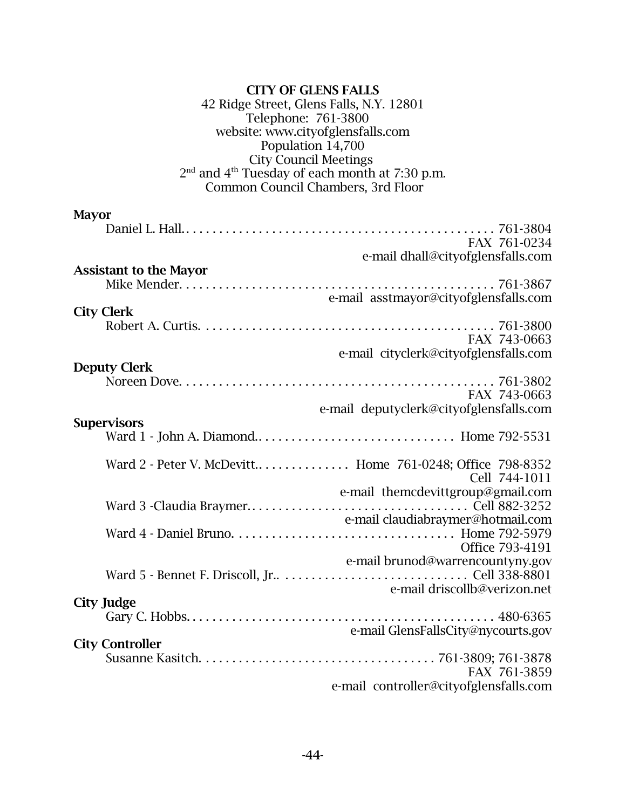| <b>CITY OF GLENS FALLS</b><br>42 Ridge Street, Glens Falls, N.Y. 12801<br>Telephone: 761-3800<br>website: www.cityofglensfalls.com<br>Population 14,700<br><b>City Council Meetings</b><br>2 <sup>nd</sup> and 4 <sup>th</sup> Tuesday of each month at 7:30 p.m.<br>Common Council Chambers, 3rd Floor |
|---------------------------------------------------------------------------------------------------------------------------------------------------------------------------------------------------------------------------------------------------------------------------------------------------------|
| <b>Mayor</b><br>FAX 761-0234<br>e-mail dhall@cityofglensfalls.com                                                                                                                                                                                                                                       |
| <b>Assistant to the Mayor</b><br>e-mail asstmayor@cityofglensfalls.com<br><b>City Clerk</b>                                                                                                                                                                                                             |
| FAX 743-0663<br>e-mail cityclerk@cityofglensfalls.com<br><b>Deputy Clerk</b>                                                                                                                                                                                                                            |
| FAX 743-0663<br>e-mail deputyclerk@cityofglensfalls.com<br><b>Supervisors</b>                                                                                                                                                                                                                           |
| Ward 2 - Peter V. McDevitt Home 761-0248; Office 798-8352<br>Cell 744-1011<br>e-mail themcdevittgroup@gmail.com                                                                                                                                                                                         |
| e-mail claudiabraymer@hotmail.com<br>Office 793-4191                                                                                                                                                                                                                                                    |
| e-mail brunod@warrencountyny.gov<br>e-mail driscollb@verizon.net<br><b>City Judge</b>                                                                                                                                                                                                                   |
| e-mail GlensFallsCity@nycourts.gov<br><b>City Controller</b>                                                                                                                                                                                                                                            |
| FAX 761-3859<br>e-mail controller@cityofglensfalls.com                                                                                                                                                                                                                                                  |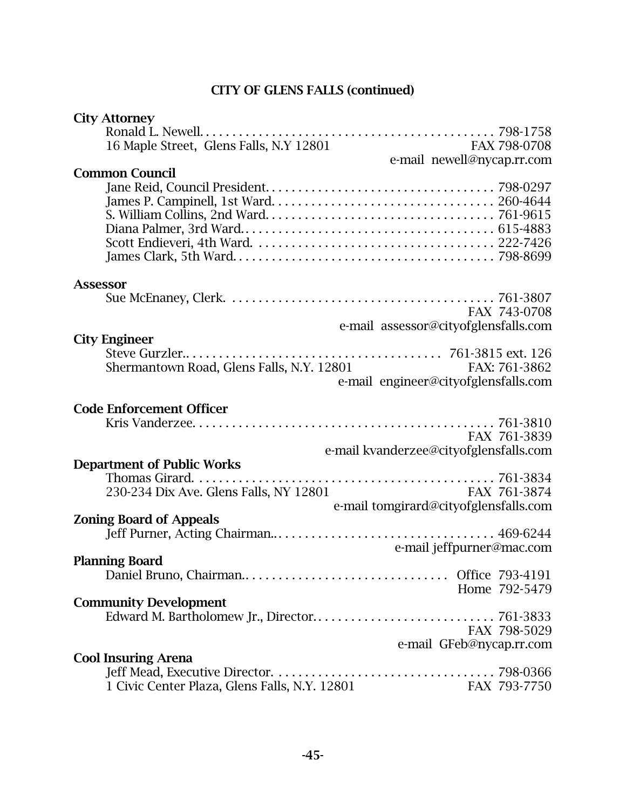## CITY OF GLENS FALLS (continued)

| <b>City Attorney</b>                                          |               |
|---------------------------------------------------------------|---------------|
|                                                               |               |
| 16 Maple Street, Glens Falls, N.Y 12801<br>FAX 798-0708       |               |
| e-mail newell@nycap.rr.com                                    |               |
| <b>Common Council</b>                                         |               |
|                                                               |               |
|                                                               |               |
|                                                               |               |
|                                                               |               |
|                                                               |               |
|                                                               |               |
|                                                               |               |
|                                                               |               |
| <b>Assessor</b>                                               |               |
|                                                               |               |
|                                                               | FAX 743-0708  |
| e-mail assessor@cityofglensfalls.com                          |               |
| <b>City Engineer</b>                                          |               |
|                                                               |               |
| Shermantown Road, Glens Falls, N.Y. 12801                     | FAX: 761-3862 |
| e-mail engineer@cityofglensfalls.com                          |               |
|                                                               |               |
|                                                               |               |
| <b>Code Enforcement Officer</b>                               |               |
|                                                               |               |
| FAX 761-3839                                                  |               |
| e-mail kvanderzee@cityofglensfalls.com                        |               |
| <b>Department of Public Works</b>                             |               |
|                                                               |               |
| 230-234 Dix Ave. Glens Falls, NY 12801<br>FAX 761-3874        |               |
| e-mail tomgirard@cityofglensfalls.com                         |               |
| <b>Zoning Board of Appeals</b>                                |               |
|                                                               |               |
| e-mail jeffpurner@mac.com                                     |               |
| <b>Planning Board</b>                                         |               |
|                                                               |               |
|                                                               | Home 792-5479 |
|                                                               |               |
| <b>Community Development</b>                                  |               |
|                                                               |               |
|                                                               | FAX 798-5029  |
| e-mail GFeb@nycap.rr.com                                      |               |
| <b>Cool Insuring Arena</b>                                    |               |
|                                                               |               |
| 1 Civic Center Plaza, Glens Falls, N.Y. 12801<br>FAX 793-7750 |               |